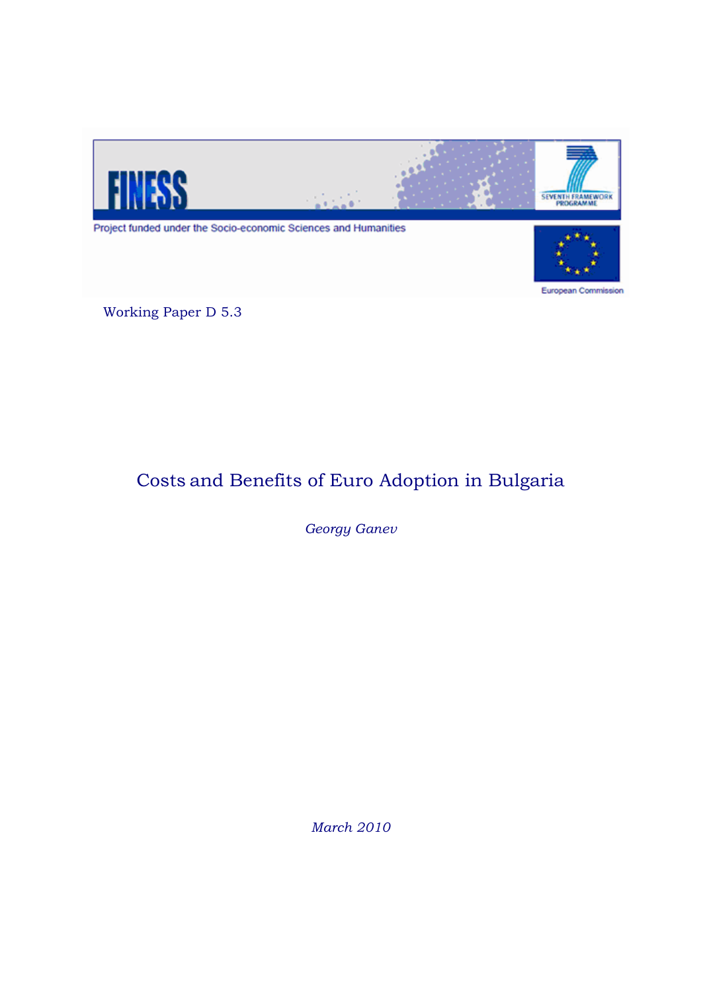

Working Paper D 5.3

# Costs and Benefits of Euro Adoption in Bulgaria

*Georgy Ganev*

*March 2010*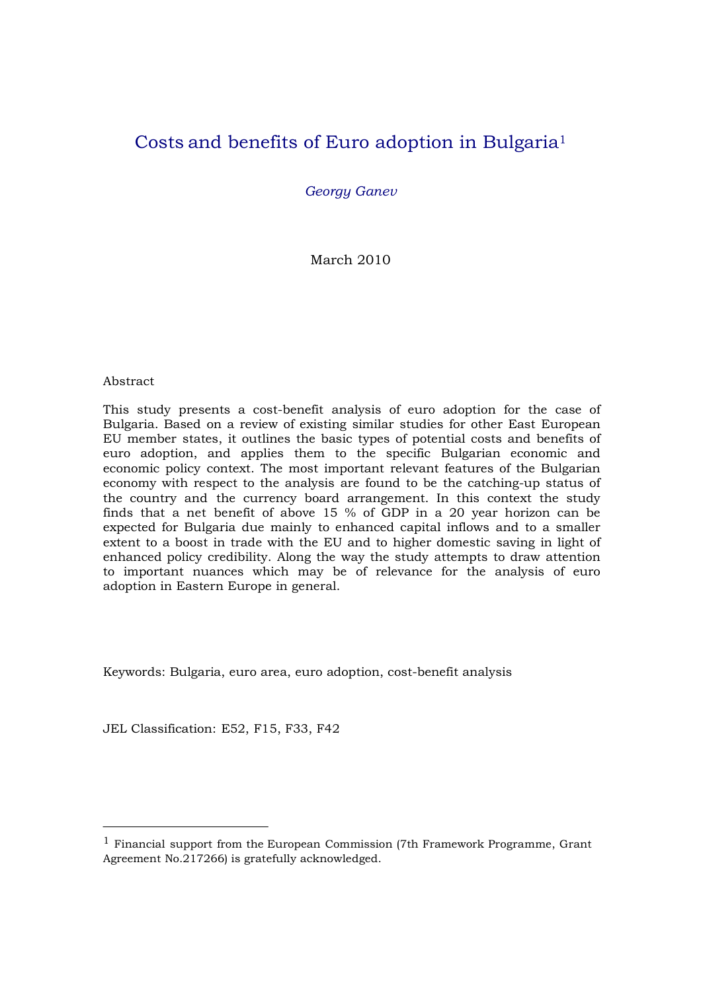### Costs and benefits of Euro adoption in Bulgaria1

*Georgy Ganev*

March 2010

#### Abstract

This study presents a cost-benefit analysis of euro adoption for the case of Bulgaria. Based on a review of existing similar studies for other East European EU member states, it outlines the basic types of potential costs and benefits of euro adoption, and applies them to the specific Bulgarian economic and economic policy context. The most important relevant features of the Bulgarian economy with respect to the analysis are found to be the catching-up status of the country and the currency board arrangement. In this context the study finds that a net benefit of above 15 % of GDP in a 20 year horizon can be expected for Bulgaria due mainly to enhanced capital inflows and to a smaller extent to a boost in trade with the EU and to higher domestic saving in light of enhanced policy credibility. Along the way the study attempts to draw attention to important nuances which may be of relevance for the analysis of euro adoption in Eastern Europe in general.

Keywords: Bulgaria, euro area, euro adoption, cost-benefit analysis

JEL Classification: E52, F15, F33, F42

 $1$  Financial support from the European Commission (7th Framework Programme, Grant Agreement No.217266) is gratefully acknowledged.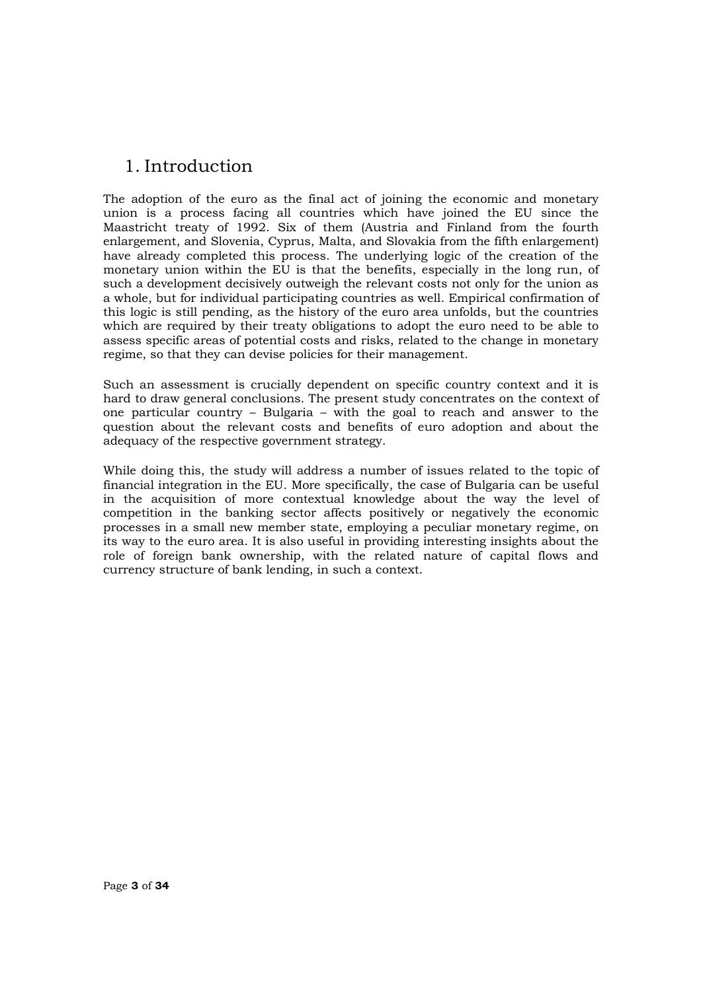### 1. Introduction

The adoption of the euro as the final act of joining the economic and monetary union is a process facing all countries which have joined the EU since the Maastricht treaty of 1992. Six of them (Austria and Finland from the fourth enlargement, and Slovenia, Cyprus, Malta, and Slovakia from the fifth enlargement) have already completed this process. The underlying logic of the creation of the monetary union within the EU is that the benefits, especially in the long run, of such a development decisively outweigh the relevant costs not only for the union as a whole, but for individual participating countries as well. Empirical confirmation of this logic is still pending, as the history of the euro area unfolds, but the countries which are required by their treaty obligations to adopt the euro need to be able to assess specific areas of potential costs and risks, related to the change in monetary regime, so that they can devise policies for their management.

Such an assessment is crucially dependent on specific country context and it is hard to draw general conclusions. The present study concentrates on the context of one particular country – Bulgaria – with the goal to reach and answer to the question about the relevant costs and benefits of euro adoption and about the adequacy of the respective government strategy.

While doing this, the study will address a number of issues related to the topic of financial integration in the EU. More specifically, the case of Bulgaria can be useful in the acquisition of more contextual knowledge about the way the level of competition in the banking sector affects positively or negatively the economic processes in a small new member state, employing a peculiar monetary regime, on its way to the euro area. It is also useful in providing interesting insights about the role of foreign bank ownership, with the related nature of capital flows and currency structure of bank lending, in such a context.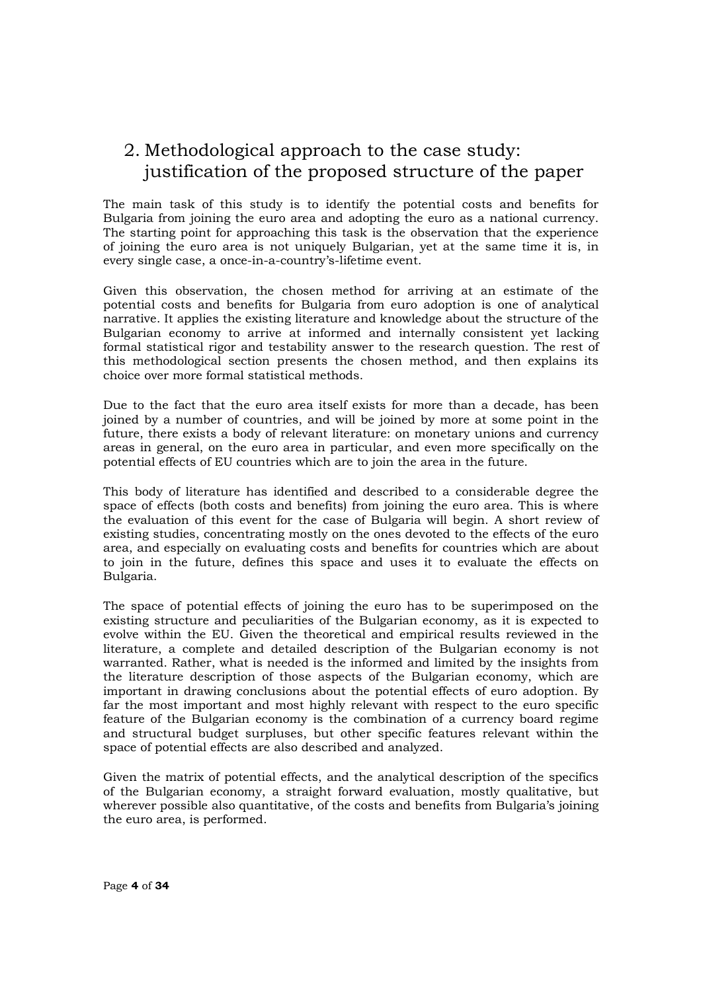### 2. Methodological approach to the case study: justification of the proposed structure of the paper

The main task of this study is to identify the potential costs and benefits for Bulgaria from joining the euro area and adopting the euro as a national currency. The starting point for approaching this task is the observation that the experience of joining the euro area is not uniquely Bulgarian, yet at the same time it is, in every single case, a once-in-a-country's-lifetime event.

Given this observation, the chosen method for arriving at an estimate of the potential costs and benefits for Bulgaria from euro adoption is one of analytical narrative. It applies the existing literature and knowledge about the structure of the Bulgarian economy to arrive at informed and internally consistent yet lacking formal statistical rigor and testability answer to the research question. The rest of this methodological section presents the chosen method, and then explains its choice over more formal statistical methods.

Due to the fact that the euro area itself exists for more than a decade, has been joined by a number of countries, and will be joined by more at some point in the future, there exists a body of relevant literature: on monetary unions and currency areas in general, on the euro area in particular, and even more specifically on the potential effects of EU countries which are to join the area in the future.

This body of literature has identified and described to a considerable degree the space of effects (both costs and benefits) from joining the euro area. This is where the evaluation of this event for the case of Bulgaria will begin. A short review of existing studies, concentrating mostly on the ones devoted to the effects of the euro area, and especially on evaluating costs and benefits for countries which are about to join in the future, defines this space and uses it to evaluate the effects on Bulgaria.

The space of potential effects of joining the euro has to be superimposed on the existing structure and peculiarities of the Bulgarian economy, as it is expected to evolve within the EU. Given the theoretical and empirical results reviewed in the literature, a complete and detailed description of the Bulgarian economy is not warranted. Rather, what is needed is the informed and limited by the insights from the literature description of those aspects of the Bulgarian economy, which are important in drawing conclusions about the potential effects of euro adoption. By far the most important and most highly relevant with respect to the euro specific feature of the Bulgarian economy is the combination of a currency board regime and structural budget surpluses, but other specific features relevant within the space of potential effects are also described and analyzed.

Given the matrix of potential effects, and the analytical description of the specifics of the Bulgarian economy, a straight forward evaluation, mostly qualitative, but wherever possible also quantitative, of the costs and benefits from Bulgaria's joining the euro area, is performed.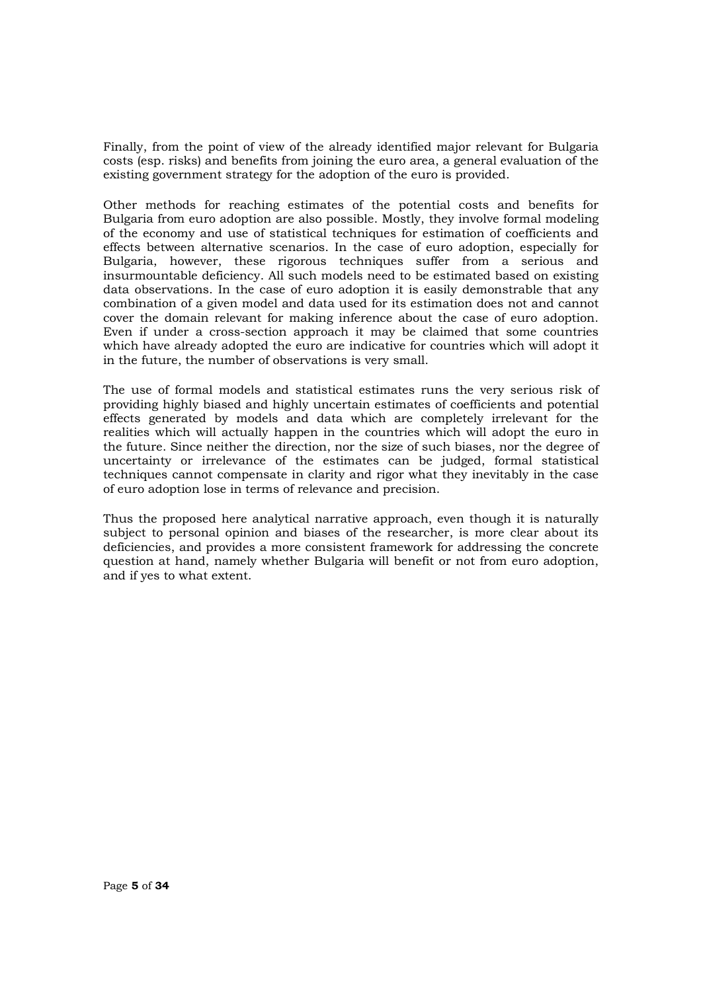Finally, from the point of view of the already identified major relevant for Bulgaria costs (esp. risks) and benefits from joining the euro area, a general evaluation of the existing government strategy for the adoption of the euro is provided.

Other methods for reaching estimates of the potential costs and benefits for Bulgaria from euro adoption are also possible. Mostly, they involve formal modeling of the economy and use of statistical techniques for estimation of coefficients and effects between alternative scenarios. In the case of euro adoption, especially for Bulgaria, however, these rigorous techniques suffer from a serious and insurmountable deficiency. All such models need to be estimated based on existing data observations. In the case of euro adoption it is easily demonstrable that any combination of a given model and data used for its estimation does not and cannot cover the domain relevant for making inference about the case of euro adoption. Even if under a cross-section approach it may be claimed that some countries which have already adopted the euro are indicative for countries which will adopt it in the future, the number of observations is very small.

The use of formal models and statistical estimates runs the very serious risk of providing highly biased and highly uncertain estimates of coefficients and potential effects generated by models and data which are completely irrelevant for the realities which will actually happen in the countries which will adopt the euro in the future. Since neither the direction, nor the size of such biases, nor the degree of uncertainty or irrelevance of the estimates can be judged, formal statistical techniques cannot compensate in clarity and rigor what they inevitably in the case of euro adoption lose in terms of relevance and precision.

Thus the proposed here analytical narrative approach, even though it is naturally subject to personal opinion and biases of the researcher, is more clear about its deficiencies, and provides a more consistent framework for addressing the concrete question at hand, namely whether Bulgaria will benefit or not from euro adoption, and if yes to what extent.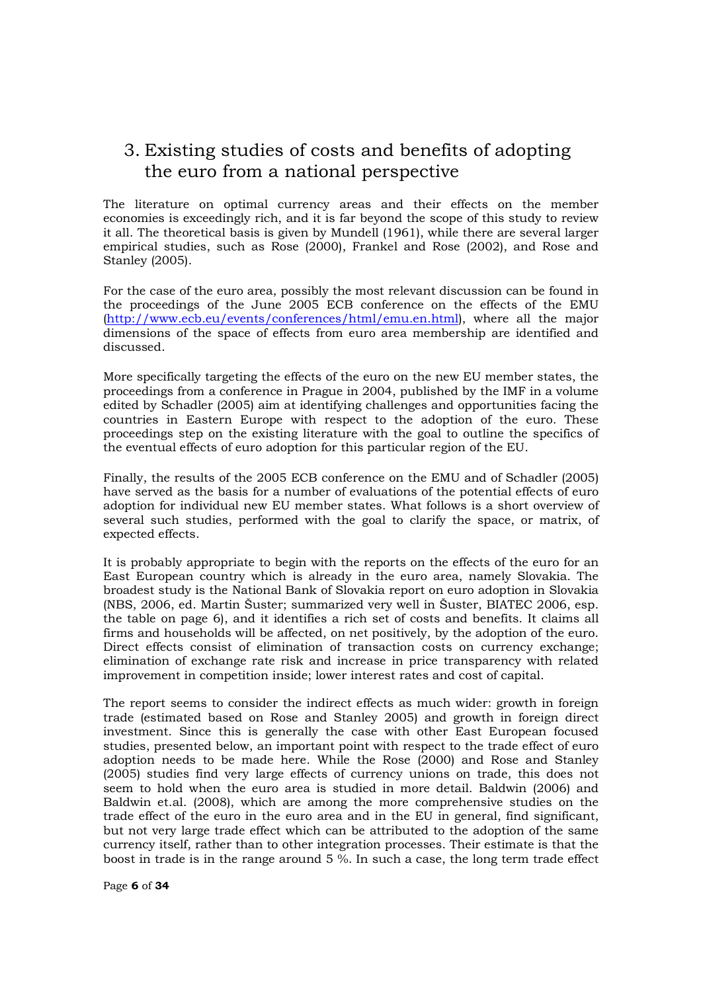### 3. Existing studies of costs and benefits of adopting the euro from a national perspective

The literature on optimal currency areas and their effects on the member economies is exceedingly rich, and it is far beyond the scope of this study to review it all. The theoretical basis is given by Mundell (1961), while there are several larger empirical studies, such as Rose (2000), Frankel and Rose (2002), and Rose and Stanley (2005).

For the case of the euro area, possibly the most relevant discussion can be found in the proceedings of the June 2005 ECB conference on the effects of the EMU (http://www.ecb.eu/events/conferences/html/emu.en.html), where all the major dimensions of the space of effects from euro area membership are identified and discussed.

More specifically targeting the effects of the euro on the new EU member states, the proceedings from a conference in Prague in 2004, published by the IMF in a volume edited by Schadler (2005) aim at identifying challenges and opportunities facing the countries in Eastern Europe with respect to the adoption of the euro. These proceedings step on the existing literature with the goal to outline the specifics of the eventual effects of euro adoption for this particular region of the EU.

Finally, the results of the 2005 ECB conference on the EMU and of Schadler (2005) have served as the basis for a number of evaluations of the potential effects of euro adoption for individual new EU member states. What follows is a short overview of several such studies, performed with the goal to clarify the space, or matrix, of expected effects.

It is probably appropriate to begin with the reports on the effects of the euro for an East European country which is already in the euro area, namely Slovakia. The broadest study is the National Bank of Slovakia report on euro adoption in Slovakia (NBS, 2006, ed. Martin Šuster; summarized very well in Šuster, BIATEC 2006, esp. the table on page 6), and it identifies a rich set of costs and benefits. It claims all firms and households will be affected, on net positively, by the adoption of the euro. Direct effects consist of elimination of transaction costs on currency exchange; elimination of exchange rate risk and increase in price transparency with related improvement in competition inside; lower interest rates and cost of capital.

The report seems to consider the indirect effects as much wider: growth in foreign trade (estimated based on Rose and Stanley 2005) and growth in foreign direct investment. Since this is generally the case with other East European focused studies, presented below, an important point with respect to the trade effect of euro adoption needs to be made here. While the Rose (2000) and Rose and Stanley (2005) studies find very large effects of currency unions on trade, this does not seem to hold when the euro area is studied in more detail. Baldwin (2006) and Baldwin et.al. (2008), which are among the more comprehensive studies on the trade effect of the euro in the euro area and in the EU in general, find significant, but not very large trade effect which can be attributed to the adoption of the same currency itself, rather than to other integration processes. Their estimate is that the boost in trade is in the range around 5 %. In such a case, the long term trade effect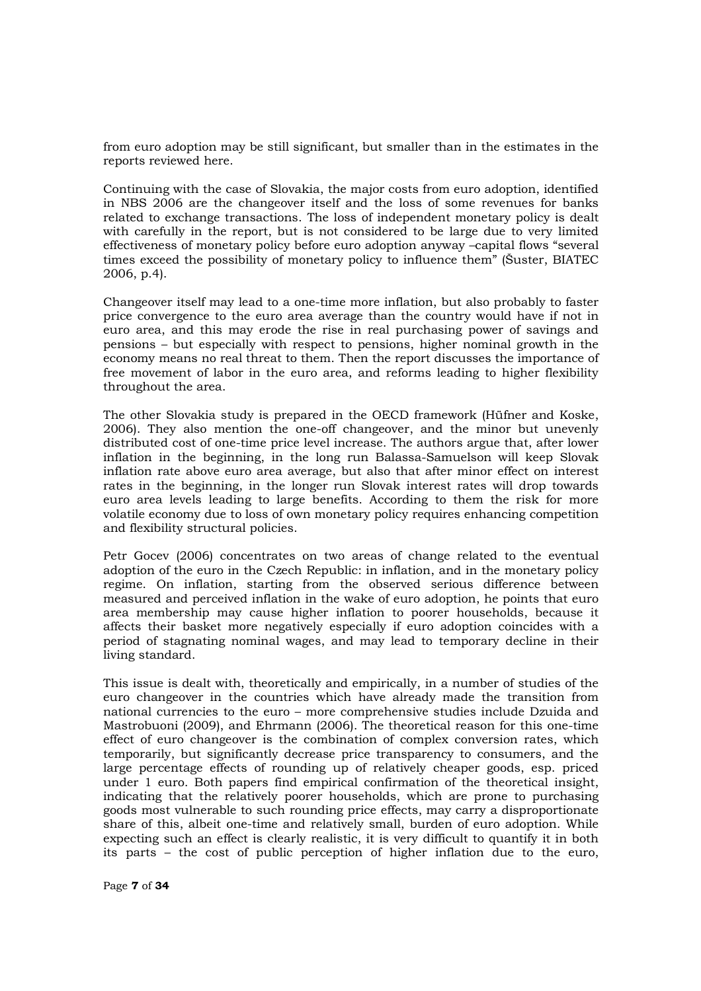from euro adoption may be still significant, but smaller than in the estimates in the reports reviewed here.

Continuing with the case of Slovakia, the major costs from euro adoption, identified in NBS 2006 are the changeover itself and the loss of some revenues for banks related to exchange transactions. The loss of independent monetary policy is dealt with carefully in the report, but is not considered to be large due to very limited effectiveness of monetary policy before euro adoption anyway –capital flows "several times exceed the possibility of monetary policy to influence them" (Šuster, BIATEC 2006, p.4).

Changeover itself may lead to a one-time more inflation, but also probably to faster price convergence to the euro area average than the country would have if not in euro area, and this may erode the rise in real purchasing power of savings and pensions – but especially with respect to pensions, higher nominal growth in the economy means no real threat to them. Then the report discusses the importance of free movement of labor in the euro area, and reforms leading to higher flexibility throughout the area.

The other Slovakia study is prepared in the OECD framework (Hüfner and Koske, 2006). They also mention the one-off changeover, and the minor but unevenly distributed cost of one-time price level increase. The authors argue that, after lower inflation in the beginning, in the long run Balassa-Samuelson will keep Slovak inflation rate above euro area average, but also that after minor effect on interest rates in the beginning, in the longer run Slovak interest rates will drop towards euro area levels leading to large benefits. According to them the risk for more volatile economy due to loss of own monetary policy requires enhancing competition and flexibility structural policies.

Petr Gocev (2006) concentrates on two areas of change related to the eventual adoption of the euro in the Czech Republic: in inflation, and in the monetary policy regime. On inflation, starting from the observed serious difference between measured and perceived inflation in the wake of euro adoption, he points that euro area membership may cause higher inflation to poorer households, because it affects their basket more negatively especially if euro adoption coincides with a period of stagnating nominal wages, and may lead to temporary decline in their living standard.

This issue is dealt with, theoretically and empirically, in a number of studies of the euro changeover in the countries which have already made the transition from national currencies to the euro – more comprehensive studies include Dzuida and Mastrobuoni (2009), and Ehrmann (2006). The theoretical reason for this one-time effect of euro changeover is the combination of complex conversion rates, which temporarily, but significantly decrease price transparency to consumers, and the large percentage effects of rounding up of relatively cheaper goods, esp. priced under 1 euro. Both papers find empirical confirmation of the theoretical insight, indicating that the relatively poorer households, which are prone to purchasing goods most vulnerable to such rounding price effects, may carry a disproportionate share of this, albeit one-time and relatively small, burden of euro adoption. While expecting such an effect is clearly realistic, it is very difficult to quantify it in both its parts – the cost of public perception of higher inflation due to the euro,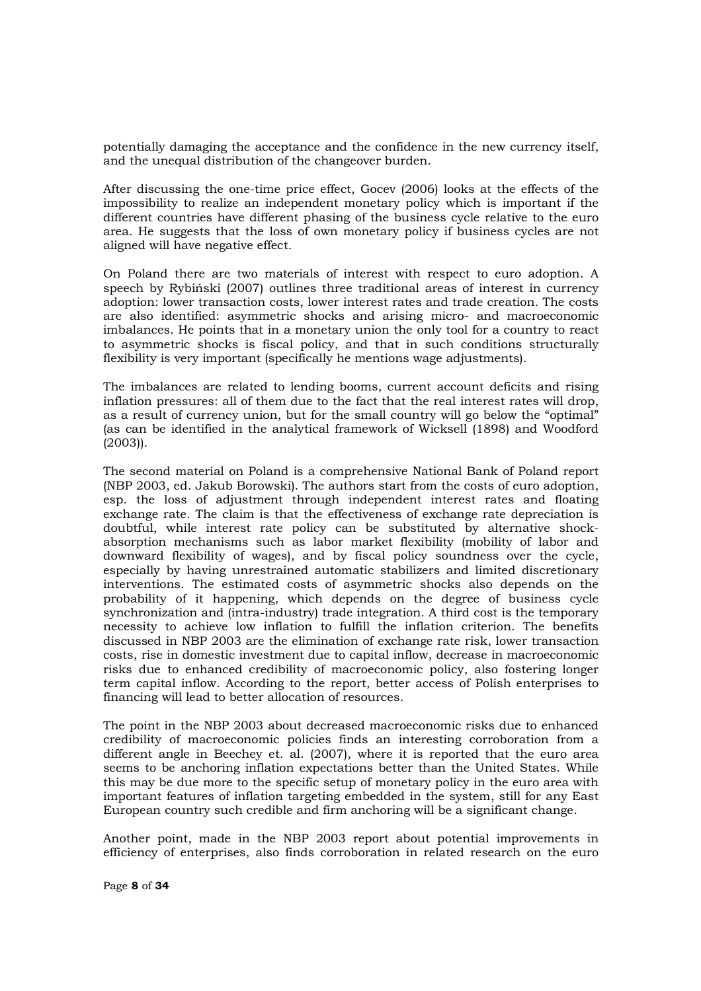potentially damaging the acceptance and the confidence in the new currency itself, and the unequal distribution of the changeover burden.

After discussing the one-time price effect, Gocev (2006) looks at the effects of the impossibility to realize an independent monetary policy which is important if the different countries have different phasing of the business cycle relative to the euro area. He suggests that the loss of own monetary policy if business cycles are not aligned will have negative effect.

On Poland there are two materials of interest with respect to euro adoption. A speech by Rybiński  $(2007)$  outlines three traditional areas of interest in currency adoption: lower transaction costs, lower interest rates and trade creation. The costs are also identified: asymmetric shocks and arising micro- and macroeconomic imbalances. He points that in a monetary union the only tool for a country to react to asymmetric shocks is fiscal policy, and that in such conditions structurally flexibility is very important (specifically he mentions wage adjustments).

The imbalances are related to lending booms, current account deficits and rising inflation pressures: all of them due to the fact that the real interest rates will drop, as a result of currency union, but for the small country will go below the "optimal" (as can be identified in the analytical framework of Wicksell (1898) and Woodford (2003)).

The second material on Poland is a comprehensive National Bank of Poland report (NBP 2003, ed. Jakub Borowski). The authors start from the costs of euro adoption, esp. the loss of adjustment through independent interest rates and floating exchange rate. The claim is that the effectiveness of exchange rate depreciation is doubtful, while interest rate policy can be substituted by alternative shockabsorption mechanisms such as labor market flexibility (mobility of labor and downward flexibility of wages), and by fiscal policy soundness over the cycle, especially by having unrestrained automatic stabilizers and limited discretionary interventions. The estimated costs of asymmetric shocks also depends on the probability of it happening, which depends on the degree of business cycle synchronization and (intra-industry) trade integration. A third cost is the temporary necessity to achieve low inflation to fulfill the inflation criterion. The benefits discussed in NBP 2003 are the elimination of exchange rate risk, lower transaction costs, rise in domestic investment due to capital inflow, decrease in macroeconomic risks due to enhanced credibility of macroeconomic policy, also fostering longer term capital inflow. According to the report, better access of Polish enterprises to financing will lead to better allocation of resources.

The point in the NBP 2003 about decreased macroeconomic risks due to enhanced credibility of macroeconomic policies finds an interesting corroboration from a different angle in Beechey et. al. (2007), where it is reported that the euro area seems to be anchoring inflation expectations better than the United States. While this may be due more to the specific setup of monetary policy in the euro area with important features of inflation targeting embedded in the system, still for any East European country such credible and firm anchoring will be a significant change.

Another point, made in the NBP 2003 report about potential improvements in efficiency of enterprises, also finds corroboration in related research on the euro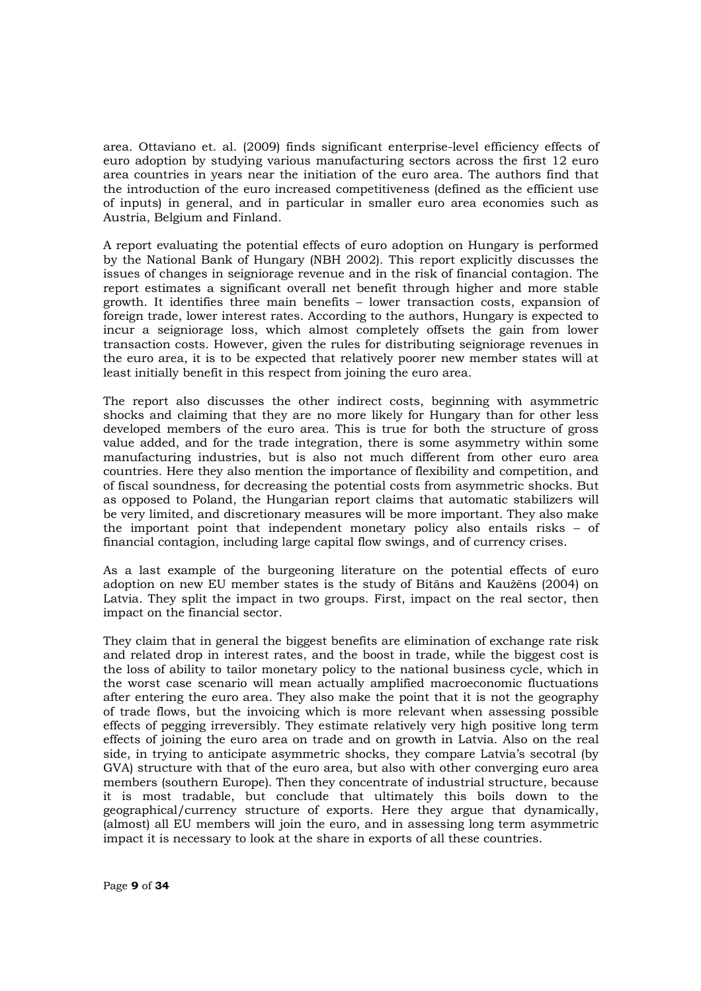area. Ottaviano et. al. (2009) finds significant enterprise-level efficiency effects of euro adoption by studying various manufacturing sectors across the first 12 euro area countries in years near the initiation of the euro area. The authors find that the introduction of the euro increased competitiveness (defined as the efficient use of inputs) in general, and in particular in smaller euro area economies such as Austria, Belgium and Finland.

A report evaluating the potential effects of euro adoption on Hungary is performed by the National Bank of Hungary (NBH 2002). This report explicitly discusses the issues of changes in seigniorage revenue and in the risk of financial contagion. The report estimates a significant overall net benefit through higher and more stable growth. It identifies three main benefits – lower transaction costs, expansion of foreign trade, lower interest rates. According to the authors, Hungary is expected to incur a seigniorage loss, which almost completely offsets the gain from lower transaction costs. However, given the rules for distributing seigniorage revenues in the euro area, it is to be expected that relatively poorer new member states will at least initially benefit in this respect from joining the euro area.

The report also discusses the other indirect costs, beginning with asymmetric shocks and claiming that they are no more likely for Hungary than for other less developed members of the euro area. This is true for both the structure of gross value added, and for the trade integration, there is some asymmetry within some manufacturing industries, but is also not much different from other euro area countries. Here they also mention the importance of flexibility and competition, and of fiscal soundness, for decreasing the potential costs from asymmetric shocks. But as opposed to Poland, the Hungarian report claims that automatic stabilizers will be very limited, and discretionary measures will be more important. They also make the important point that independent monetary policy also entails risks – of financial contagion, including large capital flow swings, and of currency crises.

As a last example of the burgeoning literature on the potential effects of euro adoption on new EU member states is the study of Bitans and Kaužēns (2004) on Latvia. They split the impact in two groups. First, impact on the real sector, then impact on the financial sector.

They claim that in general the biggest benefits are elimination of exchange rate risk and related drop in interest rates, and the boost in trade, while the biggest cost is the loss of ability to tailor monetary policy to the national business cycle, which in the worst case scenario will mean actually amplified macroeconomic fluctuations after entering the euro area. They also make the point that it is not the geography of trade flows, but the invoicing which is more relevant when assessing possible effects of pegging irreversibly. They estimate relatively very high positive long term effects of joining the euro area on trade and on growth in Latvia. Also on the real side, in trying to anticipate asymmetric shocks, they compare Latvia's secotral (by GVA) structure with that of the euro area, but also with other converging euro area members (southern Europe). Then they concentrate of industrial structure, because it is most tradable, but conclude that ultimately this boils down to the geographical/currency structure of exports. Here they argue that dynamically, (almost) all EU members will join the euro, and in assessing long term asymmetric impact it is necessary to look at the share in exports of all these countries.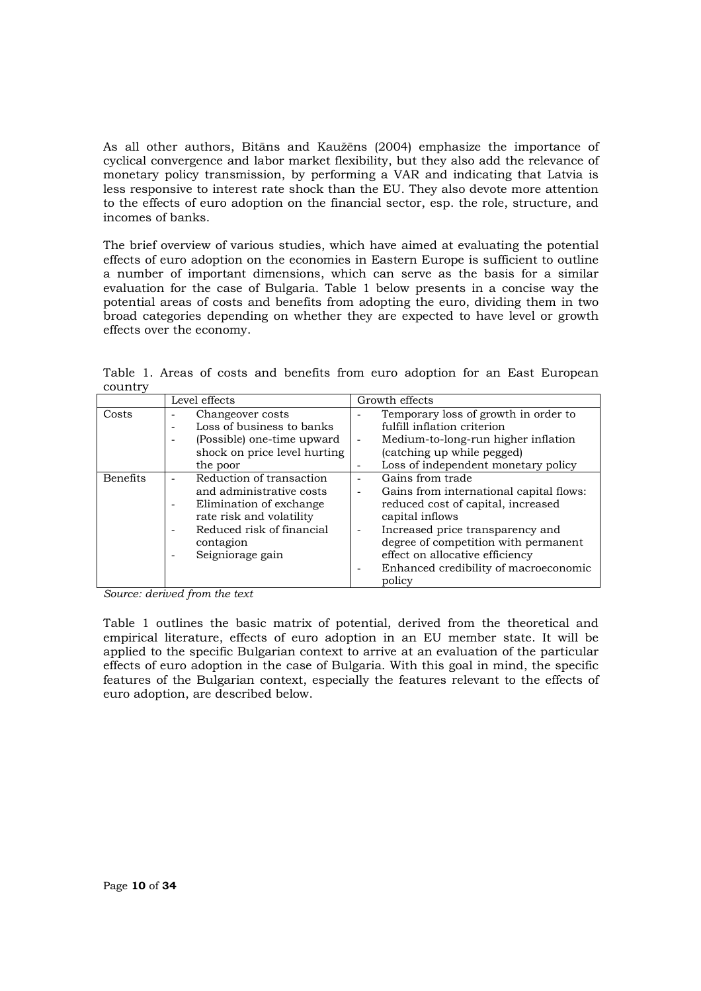As all other authors, Bitāns and Kaužēns (2004) emphasize the importance of cyclical convergence and labor market flexibility, but they also add the relevance of monetary policy transmission, by performing a VAR and indicating that Latvia is less responsive to interest rate shock than the EU. They also devote more attention to the effects of euro adoption on the financial sector, esp. the role, structure, and incomes of banks.

The brief overview of various studies, which have aimed at evaluating the potential effects of euro adoption on the economies in Eastern Europe is sufficient to outline a number of important dimensions, which can serve as the basis for a similar evaluation for the case of Bulgaria. Table 1 below presents in a concise way the potential areas of costs and benefits from adopting the euro, dividing them in two broad categories depending on whether they are expected to have level or growth effects over the economy.

Table 1. Areas of costs and benefits from euro adoption for an East European country

|          | Level effects                                                                                                                                                                                         | Growth effects                                                                                                                                                                                                                                                                         |  |  |
|----------|-------------------------------------------------------------------------------------------------------------------------------------------------------------------------------------------------------|----------------------------------------------------------------------------------------------------------------------------------------------------------------------------------------------------------------------------------------------------------------------------------------|--|--|
| Costs    | Changeover costs<br>٠<br>Loss of business to banks<br>$\overline{\phantom{0}}$<br>(Possible) one-time upward<br>$\overline{\phantom{a}}$<br>shock on price level hurting<br>the poor                  | Temporary loss of growth in order to<br>fulfill inflation criterion<br>Medium-to-long-run higher inflation<br>٠<br>(catching up while pegged)<br>Loss of independent monetary policy                                                                                                   |  |  |
| Benefits | Reduction of transaction<br>and administrative costs<br>Elimination of exchange<br>rate risk and volatility<br>Reduced risk of financial<br>$\overline{\phantom{a}}$<br>contagion<br>Seigniorage gain | Gains from trade<br>Gains from international capital flows:<br>reduced cost of capital, increased<br>capital inflows<br>Increased price transparency and<br>degree of competition with permanent<br>effect on allocative efficiency<br>Enhanced credibility of macroeconomic<br>policy |  |  |

*Source: derived from the text* 

Table 1 outlines the basic matrix of potential, derived from the theoretical and empirical literature, effects of euro adoption in an EU member state. It will be applied to the specific Bulgarian context to arrive at an evaluation of the particular effects of euro adoption in the case of Bulgaria. With this goal in mind, the specific features of the Bulgarian context, especially the features relevant to the effects of euro adoption, are described below.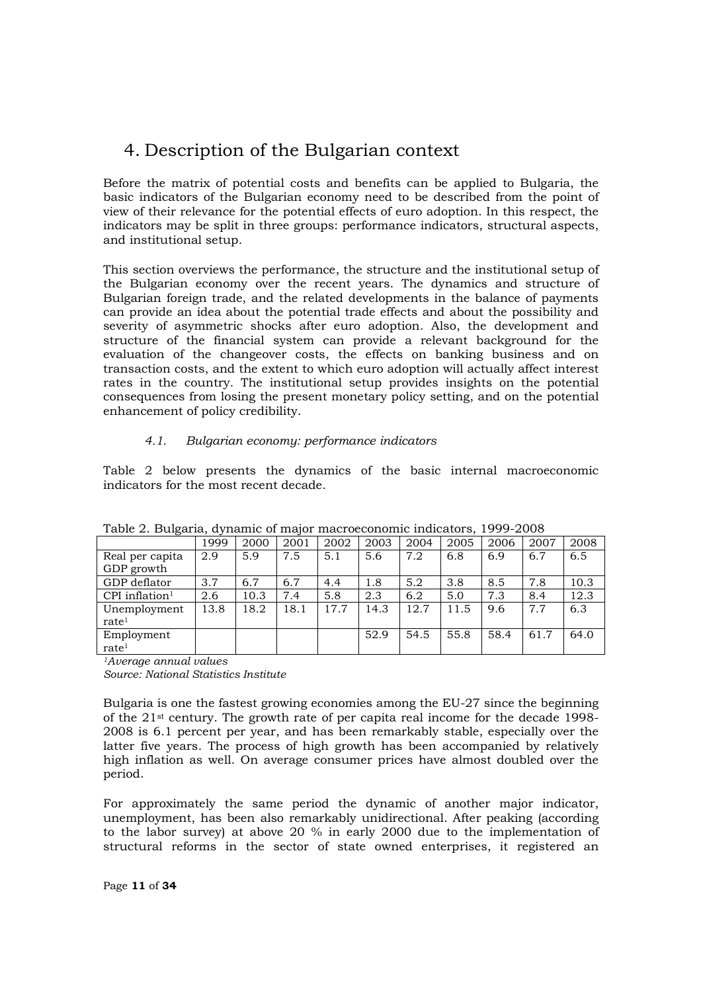## 4. Description of the Bulgarian context

Before the matrix of potential costs and benefits can be applied to Bulgaria, the basic indicators of the Bulgarian economy need to be described from the point of view of their relevance for the potential effects of euro adoption. In this respect, the indicators may be split in three groups: performance indicators, structural aspects, and institutional setup.

This section overviews the performance, the structure and the institutional setup of the Bulgarian economy over the recent years. The dynamics and structure of Bulgarian foreign trade, and the related developments in the balance of payments can provide an idea about the potential trade effects and about the possibility and severity of asymmetric shocks after euro adoption. Also, the development and structure of the financial system can provide a relevant background for the evaluation of the changeover costs, the effects on banking business and on transaction costs, and the extent to which euro adoption will actually affect interest rates in the country. The institutional setup provides insights on the potential consequences from losing the present monetary policy setting, and on the potential enhancement of policy credibility.

#### *4.1. Bulgarian economy: performance indicators*

Table 2 below presents the dynamics of the basic internal macroeconomic indicators for the most recent decade.

| ້                            | 1999 | 2000 | 2001 | 2002 | 2003 | 2004 | 2005 | 2006 | 2007 | 2008 |
|------------------------------|------|------|------|------|------|------|------|------|------|------|
| Real per capita              | 2.9  | 5.9  | 7.5  | 5.1  | 5.6  | 7.2  | 6.8  | 6.9  | 6.7  | 6.5  |
| GDP growth                   |      |      |      |      |      |      |      |      |      |      |
| GDP deflator                 | 3.7  | 6.7  | 6.7  | 4.4  | 1.8  | 5.2  | 3.8  | 8.5  | 7.8  | 10.3 |
| $CPI$ inflation <sup>1</sup> | 2.6  | 10.3 | 7.4  | 5.8  | 2.3  | 6.2  | 5.0  | 7.3  | 8.4  | 12.3 |
| Unemployment                 | 13.8 | 18.2 | 18.1 | 17.7 | 14.3 | 12.7 | 11.5 | 9.6  | 7.7  | 6.3  |
| rate <sup>1</sup>            |      |      |      |      |      |      |      |      |      |      |
| Employment                   |      |      |      |      | 52.9 | 54.5 | 55.8 | 58.4 | 61.7 | 64.0 |
| rate <sup>1</sup>            |      |      |      |      |      |      |      |      |      |      |

Table 2. Bulgaria, dynamic of major macroeconomic indicators, 1999-2008

*1Average annual values Source: National Statistics Institute* 

Bulgaria is one the fastest growing economies among the EU-27 since the beginning of the 21st century. The growth rate of per capita real income for the decade 1998- 2008 is 6.1 percent per year, and has been remarkably stable, especially over the latter five years. The process of high growth has been accompanied by relatively high inflation as well. On average consumer prices have almost doubled over the period.

For approximately the same period the dynamic of another major indicator, unemployment, has been also remarkably unidirectional. After peaking (according to the labor survey) at above 20 % in early 2000 due to the implementation of structural reforms in the sector of state owned enterprises, it registered an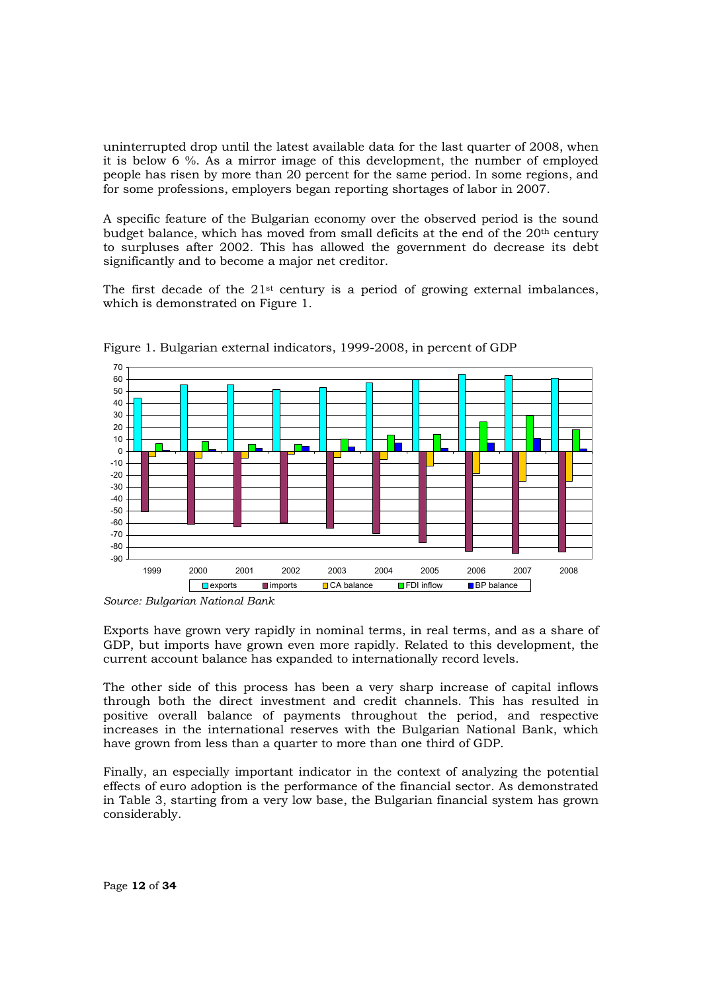uninterrupted drop until the latest available data for the last quarter of 2008, when it is below 6 %. As a mirror image of this development, the number of employed people has risen by more than 20 percent for the same period. In some regions, and for some professions, employers began reporting shortages of labor in 2007.

A specific feature of the Bulgarian economy over the observed period is the sound budget balance, which has moved from small deficits at the end of the 20th century to surpluses after 2002. This has allowed the government do decrease its debt significantly and to become a major net creditor.

The first decade of the  $21^{st}$  century is a period of growing external imbalances, which is demonstrated on Figure 1.



Figure 1. Bulgarian external indicators, 1999-2008, in percent of GDP

Exports have grown very rapidly in nominal terms, in real terms, and as a share of GDP, but imports have grown even more rapidly. Related to this development, the current account balance has expanded to internationally record levels.

The other side of this process has been a very sharp increase of capital inflows through both the direct investment and credit channels. This has resulted in positive overall balance of payments throughout the period, and respective increases in the international reserves with the Bulgarian National Bank, which have grown from less than a quarter to more than one third of GDP.

Finally, an especially important indicator in the context of analyzing the potential effects of euro adoption is the performance of the financial sector. As demonstrated in Table 3, starting from a very low base, the Bulgarian financial system has grown considerably.

*Source: Bulgarian National Bank*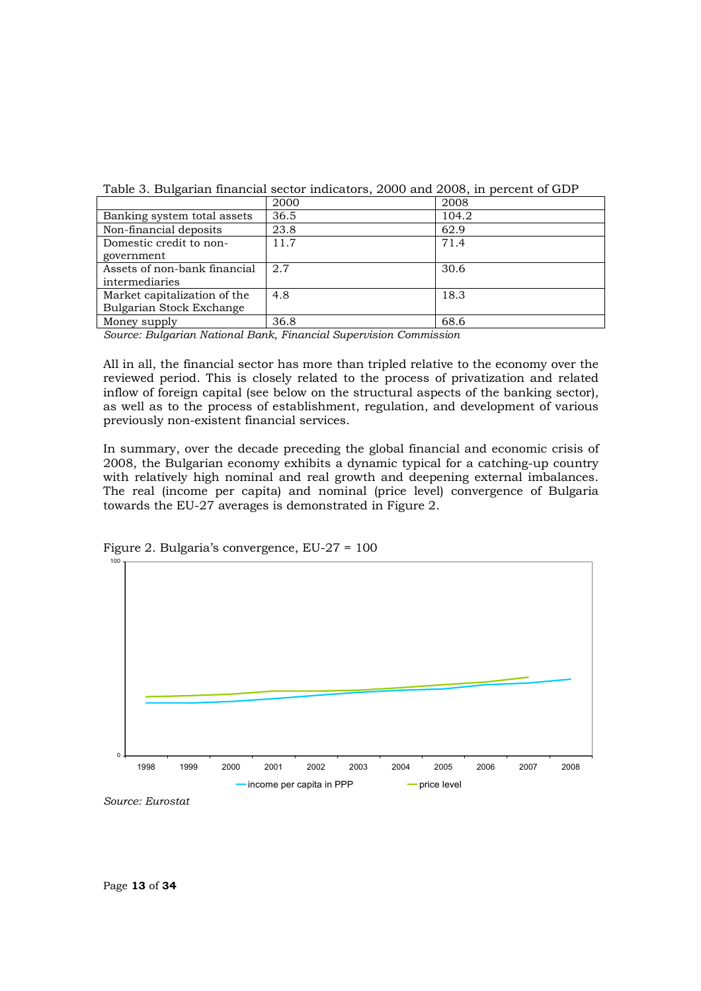|                              | 2000 | 2008  |
|------------------------------|------|-------|
| Banking system total assets  | 36.5 | 104.2 |
| Non-financial deposits       | 23.8 | 62.9  |
| Domestic credit to non-      | 11.7 | 71.4  |
| government                   |      |       |
| Assets of non-bank financial | 2.7  | 30.6  |
| intermediaries               |      |       |
| Market capitalization of the | 4.8  | 18.3  |
| Bulgarian Stock Exchange     |      |       |
| Money supply                 | 36.8 | 68.6  |

Table 3. Bulgarian financial sector indicators, 2000 and 2008, in percent of GDP

*Source: Bulgarian National Bank, Financial Supervision Commission* 

All in all, the financial sector has more than tripled relative to the economy over the reviewed period. This is closely related to the process of privatization and related inflow of foreign capital (see below on the structural aspects of the banking sector), as well as to the process of establishment, regulation, and development of various previously non-existent financial services.

In summary, over the decade preceding the global financial and economic crisis of 2008, the Bulgarian economy exhibits a dynamic typical for a catching-up country with relatively high nominal and real growth and deepening external imbalances. The real (income per capita) and nominal (price level) convergence of Bulgaria towards the EU-27 averages is demonstrated in Figure 2.



Figure 2. Bulgaria's convergence, EU-27 = 100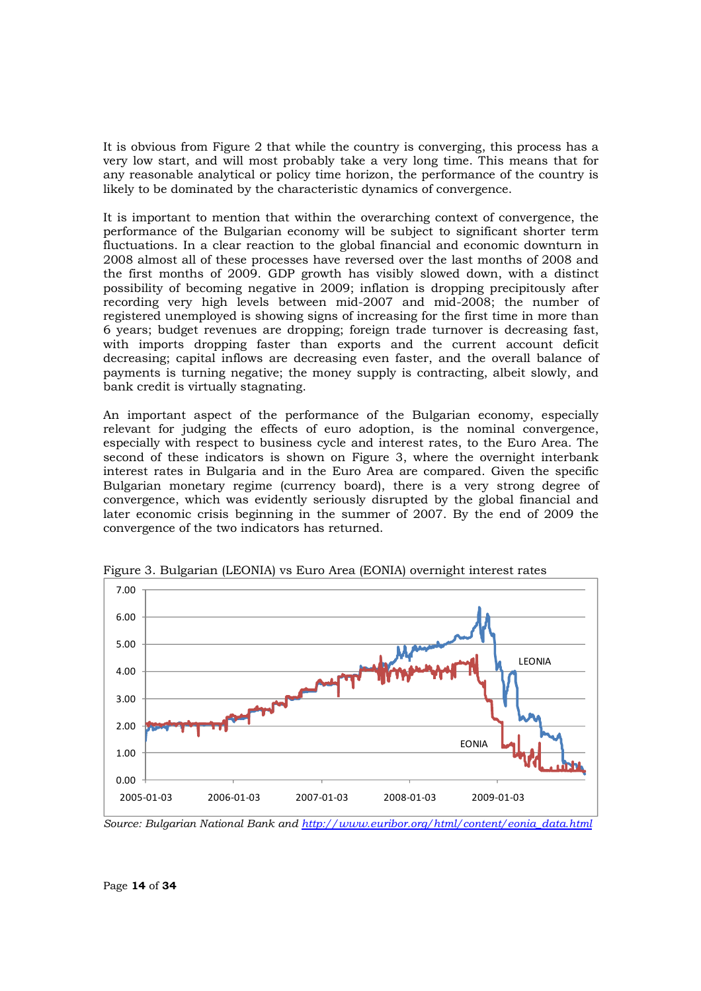It is obvious from Figure 2 that while the country is converging, this process has a very low start, and will most probably take a very long time. This means that for any reasonable analytical or policy time horizon, the performance of the country is likely to be dominated by the characteristic dynamics of convergence.

It is important to mention that within the overarching context of convergence, the performance of the Bulgarian economy will be subject to significant shorter term fluctuations. In a clear reaction to the global financial and economic downturn in 2008 almost all of these processes have reversed over the last months of 2008 and the first months of 2009. GDP growth has visibly slowed down, with a distinct possibility of becoming negative in 2009; inflation is dropping precipitously after recording very high levels between mid-2007 and mid-2008; the number of registered unemployed is showing signs of increasing for the first time in more than 6 years; budget revenues are dropping; foreign trade turnover is decreasing fast, with imports dropping faster than exports and the current account deficit decreasing; capital inflows are decreasing even faster, and the overall balance of payments is turning negative; the money supply is contracting, albeit slowly, and bank credit is virtually stagnating.

An important aspect of the performance of the Bulgarian economy, especially relevant for judging the effects of euro adoption, is the nominal convergence, especially with respect to business cycle and interest rates, to the Euro Area. The second of these indicators is shown on Figure 3, where the overnight interbank interest rates in Bulgaria and in the Euro Area are compared. Given the specific Bulgarian monetary regime (currency board), there is a very strong degree of convergence, which was evidently seriously disrupted by the global financial and later economic crisis beginning in the summer of 2007. By the end of 2009 the convergence of the two indicators has returned.



Figure 3. Bulgarian (LEONIA) vs Euro Area (EONIA) overnight interest rates

*Source: Bulgarian National Bank and http://www.euribor.org/html/content/eonia\_data.html*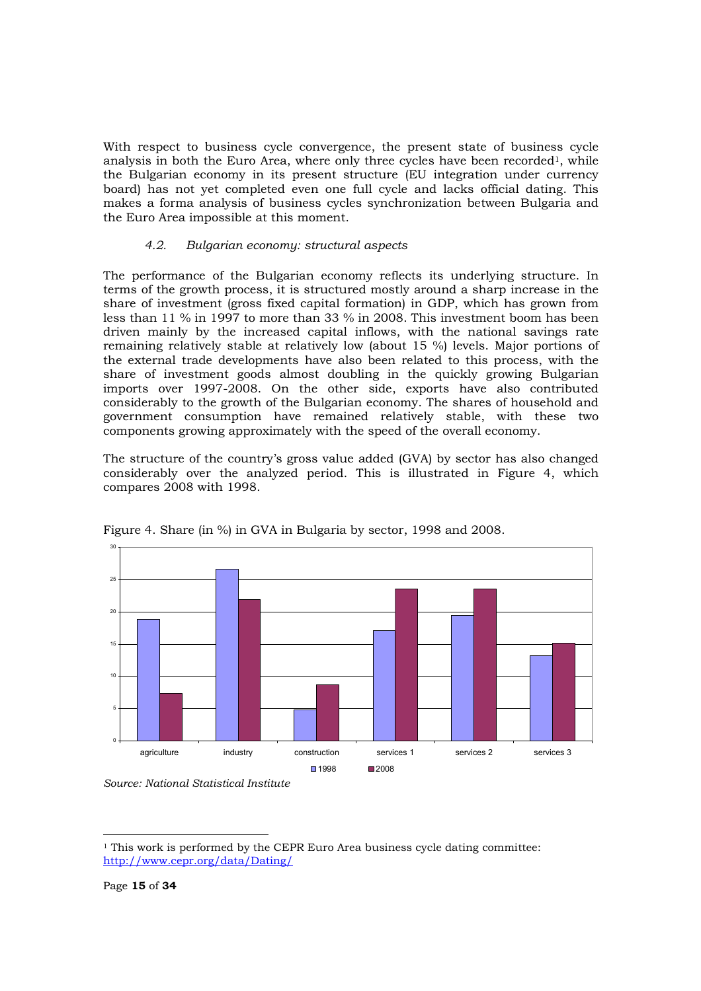With respect to business cycle convergence, the present state of business cycle analysis in both the Euro Area, where only three cycles have been recorded<sup>1</sup>, while the Bulgarian economy in its present structure (EU integration under currency board) has not yet completed even one full cycle and lacks official dating. This makes a forma analysis of business cycles synchronization between Bulgaria and the Euro Area impossible at this moment.

#### *4.2. Bulgarian economy: structural aspects*

The performance of the Bulgarian economy reflects its underlying structure. In terms of the growth process, it is structured mostly around a sharp increase in the share of investment (gross fixed capital formation) in GDP, which has grown from less than 11 % in 1997 to more than 33 % in 2008. This investment boom has been driven mainly by the increased capital inflows, with the national savings rate remaining relatively stable at relatively low (about 15 %) levels. Major portions of the external trade developments have also been related to this process, with the share of investment goods almost doubling in the quickly growing Bulgarian imports over 1997-2008. On the other side, exports have also contributed considerably to the growth of the Bulgarian economy. The shares of household and government consumption have remained relatively stable, with these two components growing approximately with the speed of the overall economy.

The structure of the country's gross value added (GVA) by sector has also changed considerably over the analyzed period. This is illustrated in Figure 4, which compares 2008 with 1998.



Figure 4. Share (in %) in GVA in Bulgaria by sector, 1998 and 2008.

*Source: National Statistical Institute* 

<sup>&</sup>lt;sup>1</sup> This work is performed by the CEPR Euro Area business cycle dating committee: http://www.cepr.org/data/Dating/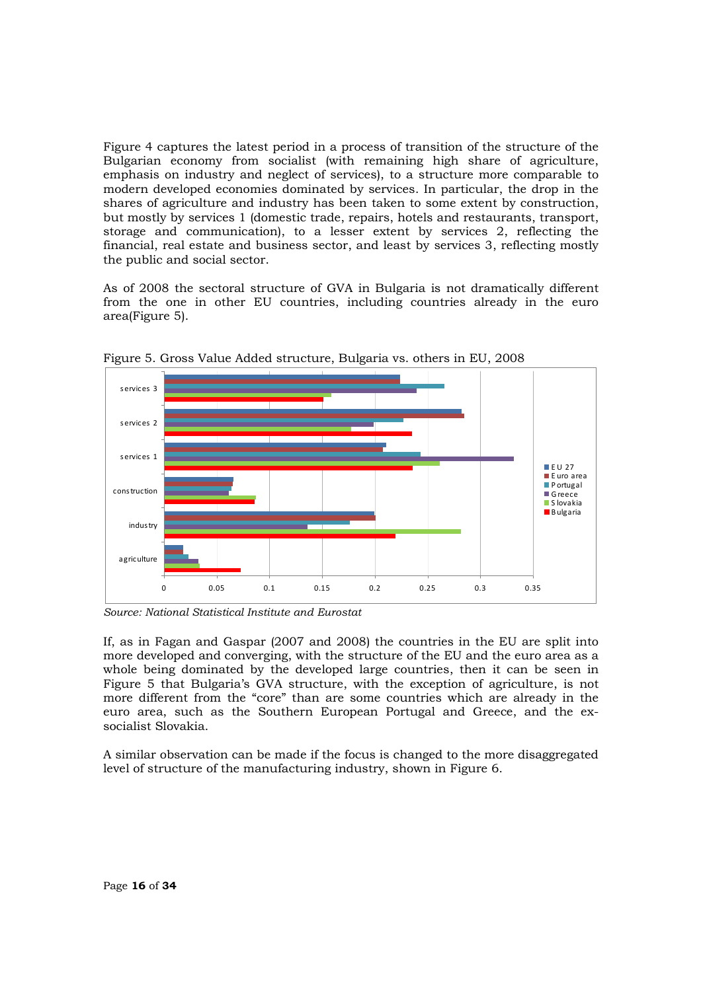Figure 4 captures the latest period in a process of transition of the structure of the Bulgarian economy from socialist (with remaining high share of agriculture, emphasis on industry and neglect of services), to a structure more comparable to modern developed economies dominated by services. In particular, the drop in the shares of agriculture and industry has been taken to some extent by construction, but mostly by services 1 (domestic trade, repairs, hotels and restaurants, transport, storage and communication), to a lesser extent by services 2, reflecting the financial, real estate and business sector, and least by services 3, reflecting mostly the public and social sector.

As of 2008 the sectoral structure of GVA in Bulgaria is not dramatically different from the one in other EU countries, including countries already in the euro area(Figure 5).



Figure 5. Gross Value Added structure, Bulgaria vs. others in EU, 2008

*Source: National Statistical Institute and Eurostat* 

If, as in Fagan and Gaspar (2007 and 2008) the countries in the EU are split into more developed and converging, with the structure of the EU and the euro area as a whole being dominated by the developed large countries, then it can be seen in Figure 5 that Bulgaria's GVA structure, with the exception of agriculture, is not more different from the "core" than are some countries which are already in the euro area, such as the Southern European Portugal and Greece, and the exsocialist Slovakia.

A similar observation can be made if the focus is changed to the more disaggregated level of structure of the manufacturing industry, shown in Figure 6.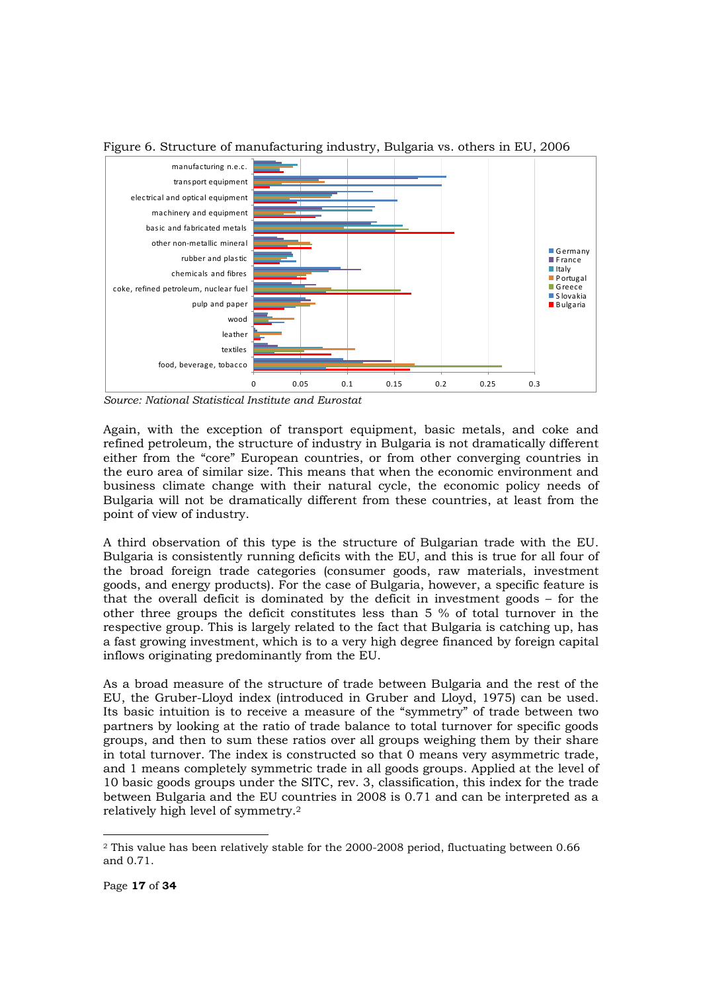

Figure 6. Structure of manufacturing industry, Bulgaria vs. others in EU, 2006

*Source: National Statistical Institute and Eurostat* 

Again, with the exception of transport equipment, basic metals, and coke and refined petroleum, the structure of industry in Bulgaria is not dramatically different either from the "core" European countries, or from other converging countries in the euro area of similar size. This means that when the economic environment and business climate change with their natural cycle, the economic policy needs of Bulgaria will not be dramatically different from these countries, at least from the point of view of industry.

A third observation of this type is the structure of Bulgarian trade with the EU. Bulgaria is consistently running deficits with the EU, and this is true for all four of the broad foreign trade categories (consumer goods, raw materials, investment goods, and energy products). For the case of Bulgaria, however, a specific feature is that the overall deficit is dominated by the deficit in investment goods – for the other three groups the deficit constitutes less than 5 % of total turnover in the respective group. This is largely related to the fact that Bulgaria is catching up, has a fast growing investment, which is to a very high degree financed by foreign capital inflows originating predominantly from the EU.

As a broad measure of the structure of trade between Bulgaria and the rest of the EU, the Gruber-Lloyd index (introduced in Gruber and Lloyd, 1975) can be used. Its basic intuition is to receive a measure of the "symmetry" of trade between two partners by looking at the ratio of trade balance to total turnover for specific goods groups, and then to sum these ratios over all groups weighing them by their share in total turnover. The index is constructed so that 0 means very asymmetric trade, and 1 means completely symmetric trade in all goods groups. Applied at the level of 10 basic goods groups under the SITC, rev. 3, classification, this index for the trade between Bulgaria and the EU countries in 2008 is 0.71 and can be interpreted as a relatively high level of symmetry.2

<sup>2</sup> This value has been relatively stable for the 2000-2008 period, fluctuating between 0.66 and 0.71.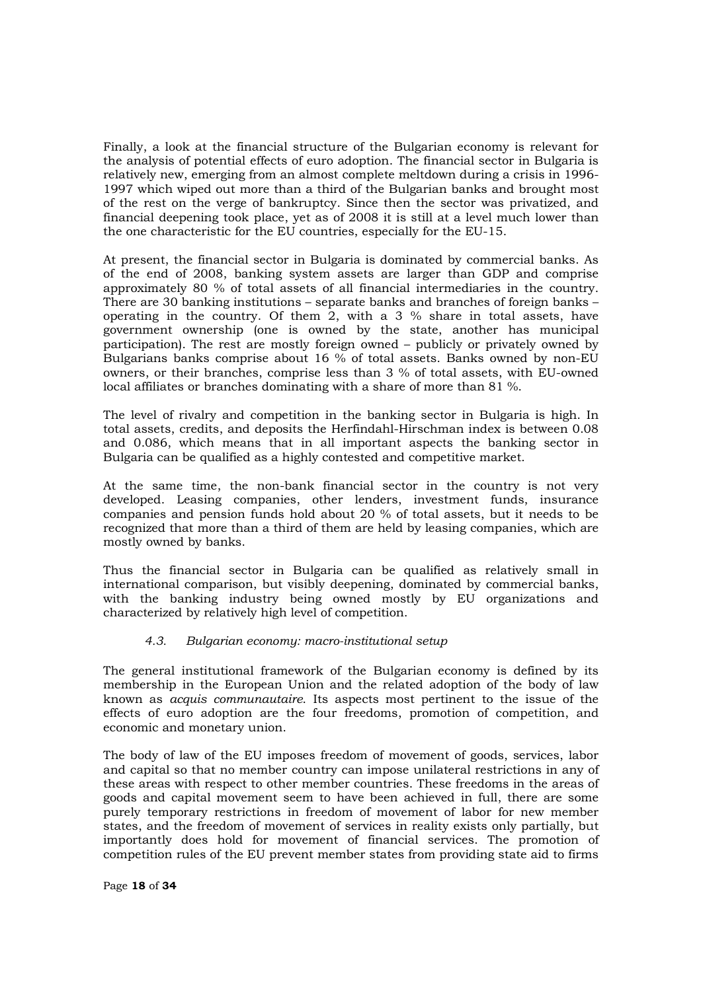Finally, a look at the financial structure of the Bulgarian economy is relevant for the analysis of potential effects of euro adoption. The financial sector in Bulgaria is relatively new, emerging from an almost complete meltdown during a crisis in 1996- 1997 which wiped out more than a third of the Bulgarian banks and brought most of the rest on the verge of bankruptcy. Since then the sector was privatized, and financial deepening took place, yet as of 2008 it is still at a level much lower than the one characteristic for the EU countries, especially for the EU-15.

At present, the financial sector in Bulgaria is dominated by commercial banks. As of the end of 2008, banking system assets are larger than GDP and comprise approximately 80 % of total assets of all financial intermediaries in the country. There are 30 banking institutions – separate banks and branches of foreign banks – operating in the country. Of them 2, with a 3 % share in total assets, have government ownership (one is owned by the state, another has municipal participation). The rest are mostly foreign owned – publicly or privately owned by Bulgarians banks comprise about 16 % of total assets. Banks owned by non-EU owners, or their branches, comprise less than 3 % of total assets, with EU-owned local affiliates or branches dominating with a share of more than 81 %.

The level of rivalry and competition in the banking sector in Bulgaria is high. In total assets, credits, and deposits the Herfindahl-Hirschman index is between 0.08 and 0.086, which means that in all important aspects the banking sector in Bulgaria can be qualified as a highly contested and competitive market.

At the same time, the non-bank financial sector in the country is not very developed. Leasing companies, other lenders, investment funds, insurance companies and pension funds hold about 20 % of total assets, but it needs to be recognized that more than a third of them are held by leasing companies, which are mostly owned by banks.

Thus the financial sector in Bulgaria can be qualified as relatively small in international comparison, but visibly deepening, dominated by commercial banks, with the banking industry being owned mostly by EU organizations and characterized by relatively high level of competition.

#### *4.3. Bulgarian economy: macro-institutional setup*

The general institutional framework of the Bulgarian economy is defined by its membership in the European Union and the related adoption of the body of law known as *acquis communautaire*. Its aspects most pertinent to the issue of the effects of euro adoption are the four freedoms, promotion of competition, and economic and monetary union.

The body of law of the EU imposes freedom of movement of goods, services, labor and capital so that no member country can impose unilateral restrictions in any of these areas with respect to other member countries. These freedoms in the areas of goods and capital movement seem to have been achieved in full, there are some purely temporary restrictions in freedom of movement of labor for new member states, and the freedom of movement of services in reality exists only partially, but importantly does hold for movement of financial services. The promotion of competition rules of the EU prevent member states from providing state aid to firms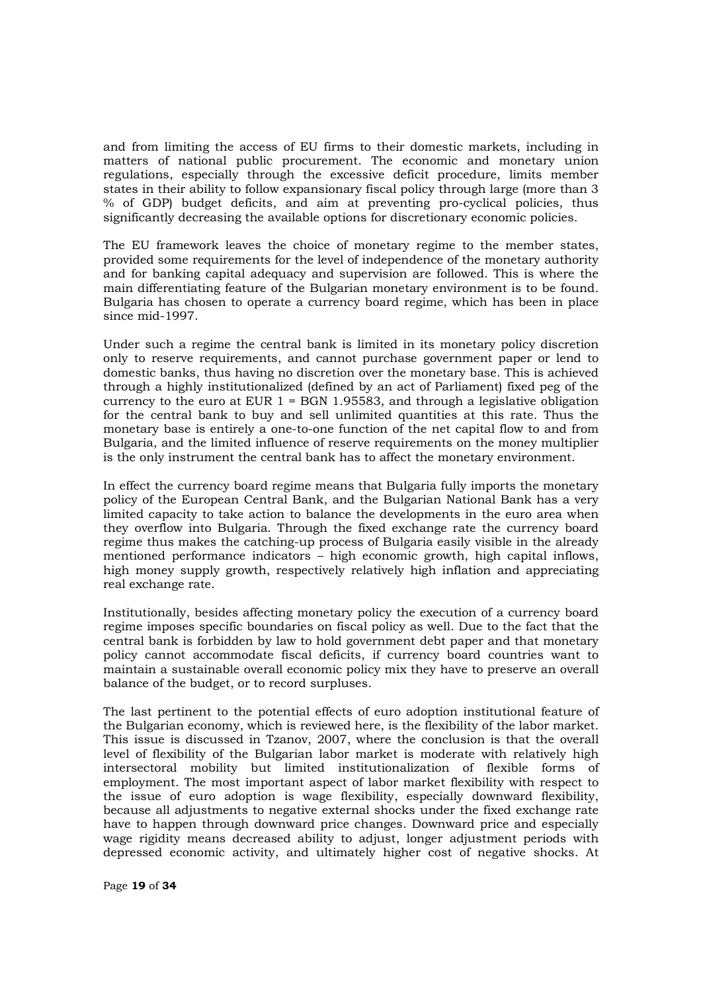and from limiting the access of EU firms to their domestic markets, including in matters of national public procurement. The economic and monetary union regulations, especially through the excessive deficit procedure, limits member states in their ability to follow expansionary fiscal policy through large (more than 3 % of GDP) budget deficits, and aim at preventing pro-cyclical policies, thus significantly decreasing the available options for discretionary economic policies.

The EU framework leaves the choice of monetary regime to the member states, provided some requirements for the level of independence of the monetary authority and for banking capital adequacy and supervision are followed. This is where the main differentiating feature of the Bulgarian monetary environment is to be found. Bulgaria has chosen to operate a currency board regime, which has been in place since mid-1997.

Under such a regime the central bank is limited in its monetary policy discretion only to reserve requirements, and cannot purchase government paper or lend to domestic banks, thus having no discretion over the monetary base. This is achieved through a highly institutionalized (defined by an act of Parliament) fixed peg of the currency to the euro at EUR  $1 =$  BGN 1.95583, and through a legislative obligation for the central bank to buy and sell unlimited quantities at this rate. Thus the monetary base is entirely a one-to-one function of the net capital flow to and from Bulgaria, and the limited influence of reserve requirements on the money multiplier is the only instrument the central bank has to affect the monetary environment.

In effect the currency board regime means that Bulgaria fully imports the monetary policy of the European Central Bank, and the Bulgarian National Bank has a very limited capacity to take action to balance the developments in the euro area when they overflow into Bulgaria. Through the fixed exchange rate the currency board regime thus makes the catching-up process of Bulgaria easily visible in the already mentioned performance indicators – high economic growth, high capital inflows, high money supply growth, respectively relatively high inflation and appreciating real exchange rate.

Institutionally, besides affecting monetary policy the execution of a currency board regime imposes specific boundaries on fiscal policy as well. Due to the fact that the central bank is forbidden by law to hold government debt paper and that monetary policy cannot accommodate fiscal deficits, if currency board countries want to maintain a sustainable overall economic policy mix they have to preserve an overall balance of the budget, or to record surpluses.

The last pertinent to the potential effects of euro adoption institutional feature of the Bulgarian economy, which is reviewed here, is the flexibility of the labor market. This issue is discussed in Tzanov, 2007, where the conclusion is that the overall level of flexibility of the Bulgarian labor market is moderate with relatively high intersectoral mobility but limited institutionalization of flexible forms of employment. The most important aspect of labor market flexibility with respect to the issue of euro adoption is wage flexibility, especially downward flexibility, because all adjustments to negative external shocks under the fixed exchange rate have to happen through downward price changes. Downward price and especially wage rigidity means decreased ability to adjust, longer adjustment periods with depressed economic activity, and ultimately higher cost of negative shocks. At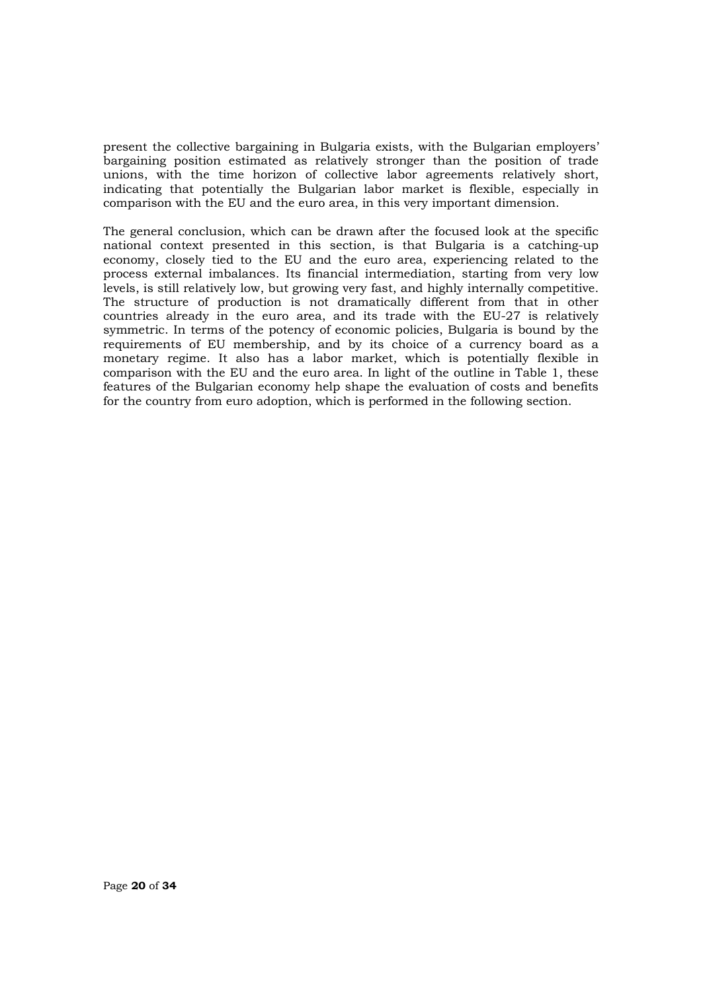present the collective bargaining in Bulgaria exists, with the Bulgarian employers' bargaining position estimated as relatively stronger than the position of trade unions, with the time horizon of collective labor agreements relatively short, indicating that potentially the Bulgarian labor market is flexible, especially in comparison with the EU and the euro area, in this very important dimension.

The general conclusion, which can be drawn after the focused look at the specific national context presented in this section, is that Bulgaria is a catching-up economy, closely tied to the EU and the euro area, experiencing related to the process external imbalances. Its financial intermediation, starting from very low levels, is still relatively low, but growing very fast, and highly internally competitive. The structure of production is not dramatically different from that in other countries already in the euro area, and its trade with the EU-27 is relatively symmetric. In terms of the potency of economic policies, Bulgaria is bound by the requirements of EU membership, and by its choice of a currency board as a monetary regime. It also has a labor market, which is potentially flexible in comparison with the EU and the euro area. In light of the outline in Table 1, these features of the Bulgarian economy help shape the evaluation of costs and benefits for the country from euro adoption, which is performed in the following section.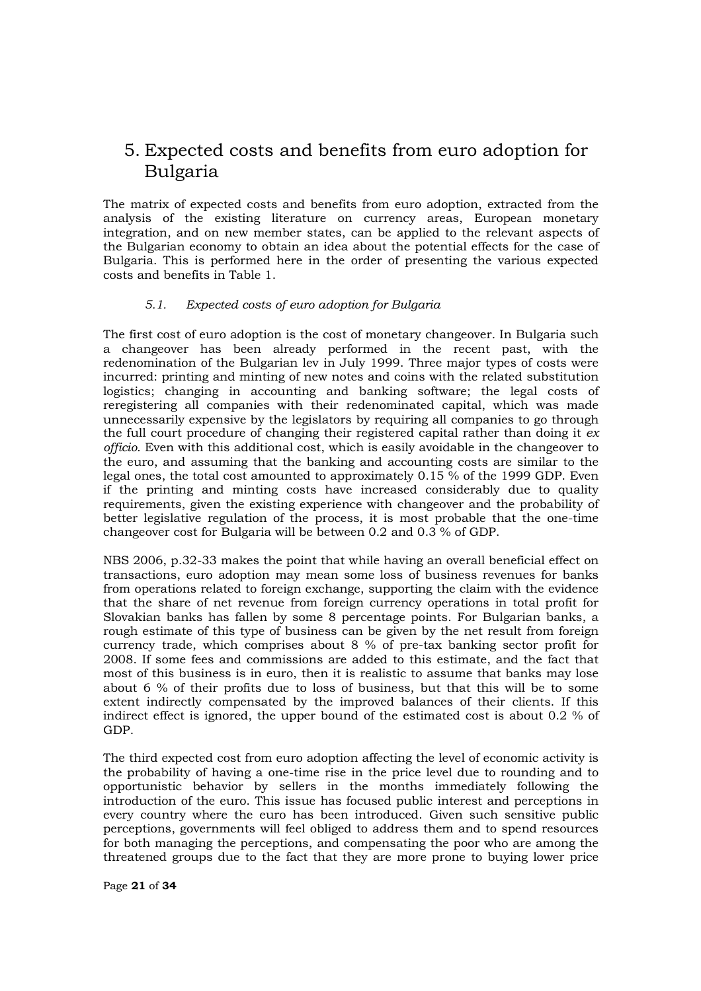### 5. Expected costs and benefits from euro adoption for Bulgaria

The matrix of expected costs and benefits from euro adoption, extracted from the analysis of the existing literature on currency areas, European monetary integration, and on new member states, can be applied to the relevant aspects of the Bulgarian economy to obtain an idea about the potential effects for the case of Bulgaria. This is performed here in the order of presenting the various expected costs and benefits in Table 1.

#### *5.1. Expected costs of euro adoption for Bulgaria*

The first cost of euro adoption is the cost of monetary changeover. In Bulgaria such a changeover has been already performed in the recent past, with the redenomination of the Bulgarian lev in July 1999. Three major types of costs were incurred: printing and minting of new notes and coins with the related substitution logistics; changing in accounting and banking software; the legal costs of reregistering all companies with their redenominated capital, which was made unnecessarily expensive by the legislators by requiring all companies to go through the full court procedure of changing their registered capital rather than doing it *ex officio*. Even with this additional cost, which is easily avoidable in the changeover to the euro, and assuming that the banking and accounting costs are similar to the legal ones, the total cost amounted to approximately 0.15 % of the 1999 GDP. Even if the printing and minting costs have increased considerably due to quality requirements, given the existing experience with changeover and the probability of better legislative regulation of the process, it is most probable that the one-time changeover cost for Bulgaria will be between 0.2 and 0.3 % of GDP.

NBS 2006, p.32-33 makes the point that while having an overall beneficial effect on transactions, euro adoption may mean some loss of business revenues for banks from operations related to foreign exchange, supporting the claim with the evidence that the share of net revenue from foreign currency operations in total profit for Slovakian banks has fallen by some 8 percentage points. For Bulgarian banks, a rough estimate of this type of business can be given by the net result from foreign currency trade, which comprises about 8 % of pre-tax banking sector profit for 2008. If some fees and commissions are added to this estimate, and the fact that most of this business is in euro, then it is realistic to assume that banks may lose about 6 % of their profits due to loss of business, but that this will be to some extent indirectly compensated by the improved balances of their clients. If this indirect effect is ignored, the upper bound of the estimated cost is about 0.2 % of GDP.

The third expected cost from euro adoption affecting the level of economic activity is the probability of having a one-time rise in the price level due to rounding and to opportunistic behavior by sellers in the months immediately following the introduction of the euro. This issue has focused public interest and perceptions in every country where the euro has been introduced. Given such sensitive public perceptions, governments will feel obliged to address them and to spend resources for both managing the perceptions, and compensating the poor who are among the threatened groups due to the fact that they are more prone to buying lower price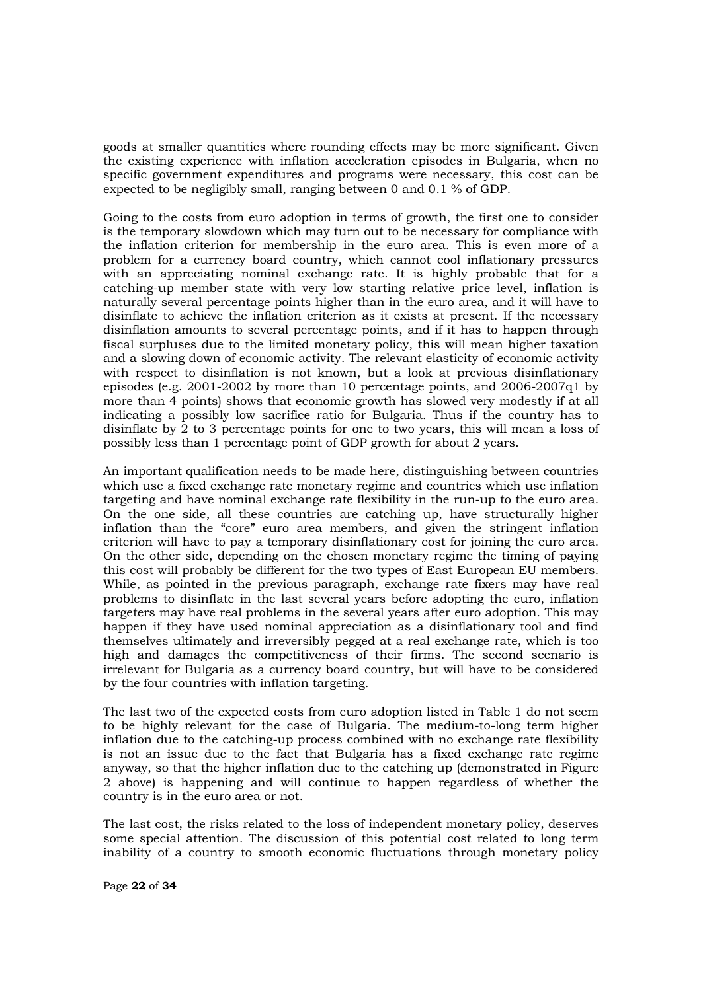goods at smaller quantities where rounding effects may be more significant. Given the existing experience with inflation acceleration episodes in Bulgaria, when no specific government expenditures and programs were necessary, this cost can be expected to be negligibly small, ranging between 0 and 0.1 % of GDP.

Going to the costs from euro adoption in terms of growth, the first one to consider is the temporary slowdown which may turn out to be necessary for compliance with the inflation criterion for membership in the euro area. This is even more of a problem for a currency board country, which cannot cool inflationary pressures with an appreciating nominal exchange rate. It is highly probable that for a catching-up member state with very low starting relative price level, inflation is naturally several percentage points higher than in the euro area, and it will have to disinflate to achieve the inflation criterion as it exists at present. If the necessary disinflation amounts to several percentage points, and if it has to happen through fiscal surpluses due to the limited monetary policy, this will mean higher taxation and a slowing down of economic activity. The relevant elasticity of economic activity with respect to disinflation is not known, but a look at previous disinflationary episodes (e.g. 2001-2002 by more than 10 percentage points, and 2006-2007q1 by more than 4 points) shows that economic growth has slowed very modestly if at all indicating a possibly low sacrifice ratio for Bulgaria. Thus if the country has to disinflate by 2 to 3 percentage points for one to two years, this will mean a loss of possibly less than 1 percentage point of GDP growth for about 2 years.

An important qualification needs to be made here, distinguishing between countries which use a fixed exchange rate monetary regime and countries which use inflation targeting and have nominal exchange rate flexibility in the run-up to the euro area. On the one side, all these countries are catching up, have structurally higher inflation than the "core" euro area members, and given the stringent inflation criterion will have to pay a temporary disinflationary cost for joining the euro area. On the other side, depending on the chosen monetary regime the timing of paying this cost will probably be different for the two types of East European EU members. While, as pointed in the previous paragraph, exchange rate fixers may have real problems to disinflate in the last several years before adopting the euro, inflation targeters may have real problems in the several years after euro adoption. This may happen if they have used nominal appreciation as a disinflationary tool and find themselves ultimately and irreversibly pegged at a real exchange rate, which is too high and damages the competitiveness of their firms. The second scenario is irrelevant for Bulgaria as a currency board country, but will have to be considered by the four countries with inflation targeting.

The last two of the expected costs from euro adoption listed in Table 1 do not seem to be highly relevant for the case of Bulgaria. The medium-to-long term higher inflation due to the catching-up process combined with no exchange rate flexibility is not an issue due to the fact that Bulgaria has a fixed exchange rate regime anyway, so that the higher inflation due to the catching up (demonstrated in Figure 2 above) is happening and will continue to happen regardless of whether the country is in the euro area or not.

The last cost, the risks related to the loss of independent monetary policy, deserves some special attention. The discussion of this potential cost related to long term inability of a country to smooth economic fluctuations through monetary policy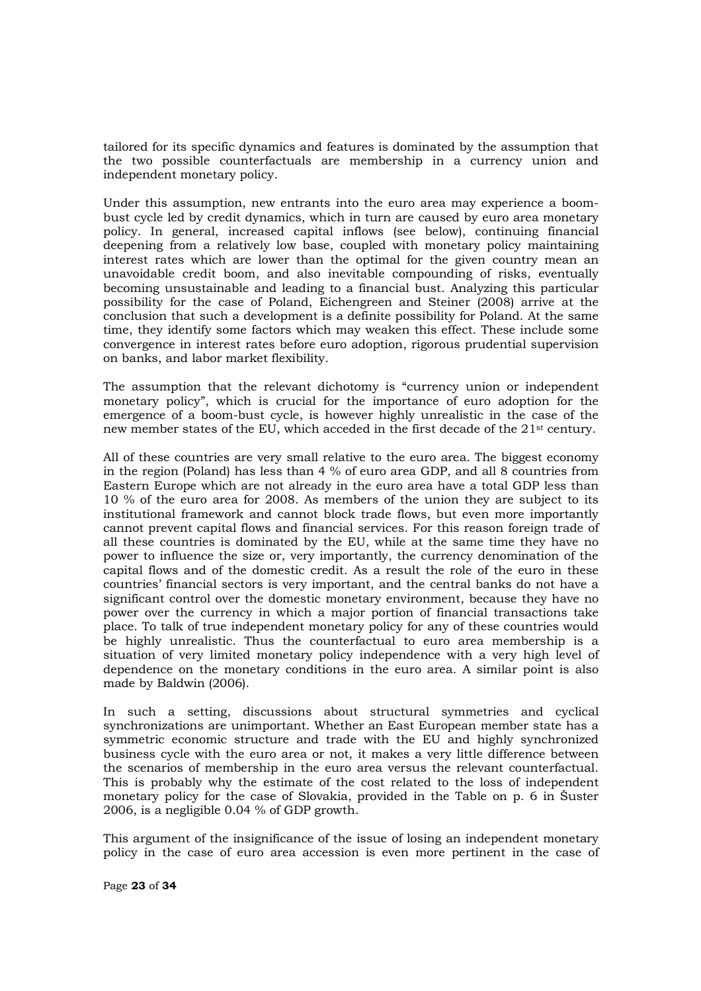tailored for its specific dynamics and features is dominated by the assumption that the two possible counterfactuals are membership in a currency union and independent monetary policy.

Under this assumption, new entrants into the euro area may experience a boombust cycle led by credit dynamics, which in turn are caused by euro area monetary policy. In general, increased capital inflows (see below), continuing financial deepening from a relatively low base, coupled with monetary policy maintaining interest rates which are lower than the optimal for the given country mean an unavoidable credit boom, and also inevitable compounding of risks, eventually becoming unsustainable and leading to a financial bust. Analyzing this particular possibility for the case of Poland, Eichengreen and Steiner (2008) arrive at the conclusion that such a development is a definite possibility for Poland. At the same time, they identify some factors which may weaken this effect. These include some convergence in interest rates before euro adoption, rigorous prudential supervision on banks, and labor market flexibility.

The assumption that the relevant dichotomy is "currency union or independent monetary policy", which is crucial for the importance of euro adoption for the emergence of a boom-bust cycle, is however highly unrealistic in the case of the new member states of the EU, which acceded in the first decade of the 21st century.

All of these countries are very small relative to the euro area. The biggest economy in the region (Poland) has less than 4 % of euro area GDP, and all 8 countries from Eastern Europe which are not already in the euro area have a total GDP less than 10 % of the euro area for 2008. As members of the union they are subject to its institutional framework and cannot block trade flows, but even more importantly cannot prevent capital flows and financial services. For this reason foreign trade of all these countries is dominated by the EU, while at the same time they have no power to influence the size or, very importantly, the currency denomination of the capital flows and of the domestic credit. As a result the role of the euro in these countries' financial sectors is very important, and the central banks do not have a significant control over the domestic monetary environment, because they have no power over the currency in which a major portion of financial transactions take place. To talk of true independent monetary policy for any of these countries would be highly unrealistic. Thus the counterfactual to euro area membership is a situation of very limited monetary policy independence with a very high level of dependence on the monetary conditions in the euro area. A similar point is also made by Baldwin (2006).

In such a setting, discussions about structural symmetries and cyclical synchronizations are unimportant. Whether an East European member state has a symmetric economic structure and trade with the EU and highly synchronized business cycle with the euro area or not, it makes a very little difference between the scenarios of membership in the euro area versus the relevant counterfactual. This is probably why the estimate of the cost related to the loss of independent monetary policy for the case of Slovakia, provided in the Table on p. 6 in Šuster 2006, is a negligible 0.04 % of GDP growth.

This argument of the insignificance of the issue of losing an independent monetary policy in the case of euro area accession is even more pertinent in the case of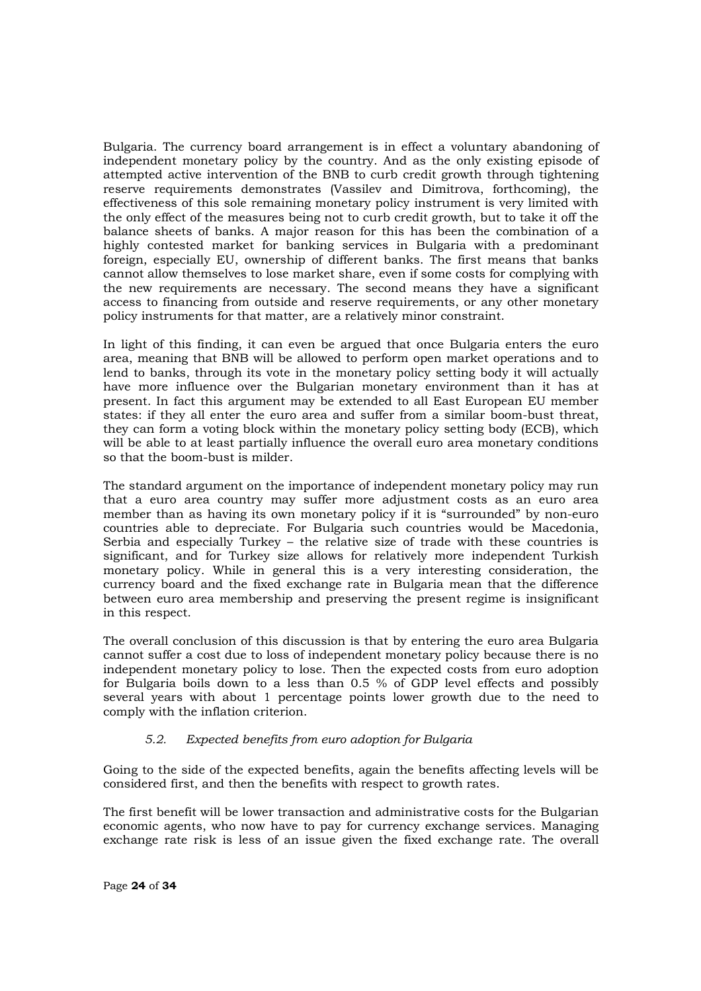Bulgaria. The currency board arrangement is in effect a voluntary abandoning of independent monetary policy by the country. And as the only existing episode of attempted active intervention of the BNB to curb credit growth through tightening reserve requirements demonstrates (Vassilev and Dimitrova, forthcoming), the effectiveness of this sole remaining monetary policy instrument is very limited with the only effect of the measures being not to curb credit growth, but to take it off the balance sheets of banks. A major reason for this has been the combination of a highly contested market for banking services in Bulgaria with a predominant foreign, especially EU, ownership of different banks. The first means that banks cannot allow themselves to lose market share, even if some costs for complying with the new requirements are necessary. The second means they have a significant access to financing from outside and reserve requirements, or any other monetary policy instruments for that matter, are a relatively minor constraint.

In light of this finding, it can even be argued that once Bulgaria enters the euro area, meaning that BNB will be allowed to perform open market operations and to lend to banks, through its vote in the monetary policy setting body it will actually have more influence over the Bulgarian monetary environment than it has at present. In fact this argument may be extended to all East European EU member states: if they all enter the euro area and suffer from a similar boom-bust threat, they can form a voting block within the monetary policy setting body (ECB), which will be able to at least partially influence the overall euro area monetary conditions so that the boom-bust is milder.

The standard argument on the importance of independent monetary policy may run that a euro area country may suffer more adjustment costs as an euro area member than as having its own monetary policy if it is "surrounded" by non-euro countries able to depreciate. For Bulgaria such countries would be Macedonia, Serbia and especially Turkey – the relative size of trade with these countries is significant, and for Turkey size allows for relatively more independent Turkish monetary policy. While in general this is a very interesting consideration, the currency board and the fixed exchange rate in Bulgaria mean that the difference between euro area membership and preserving the present regime is insignificant in this respect.

The overall conclusion of this discussion is that by entering the euro area Bulgaria cannot suffer a cost due to loss of independent monetary policy because there is no independent monetary policy to lose. Then the expected costs from euro adoption for Bulgaria boils down to a less than 0.5 % of GDP level effects and possibly several years with about 1 percentage points lower growth due to the need to comply with the inflation criterion.

#### *5.2. Expected benefits from euro adoption for Bulgaria*

Going to the side of the expected benefits, again the benefits affecting levels will be considered first, and then the benefits with respect to growth rates.

The first benefit will be lower transaction and administrative costs for the Bulgarian economic agents, who now have to pay for currency exchange services. Managing exchange rate risk is less of an issue given the fixed exchange rate. The overall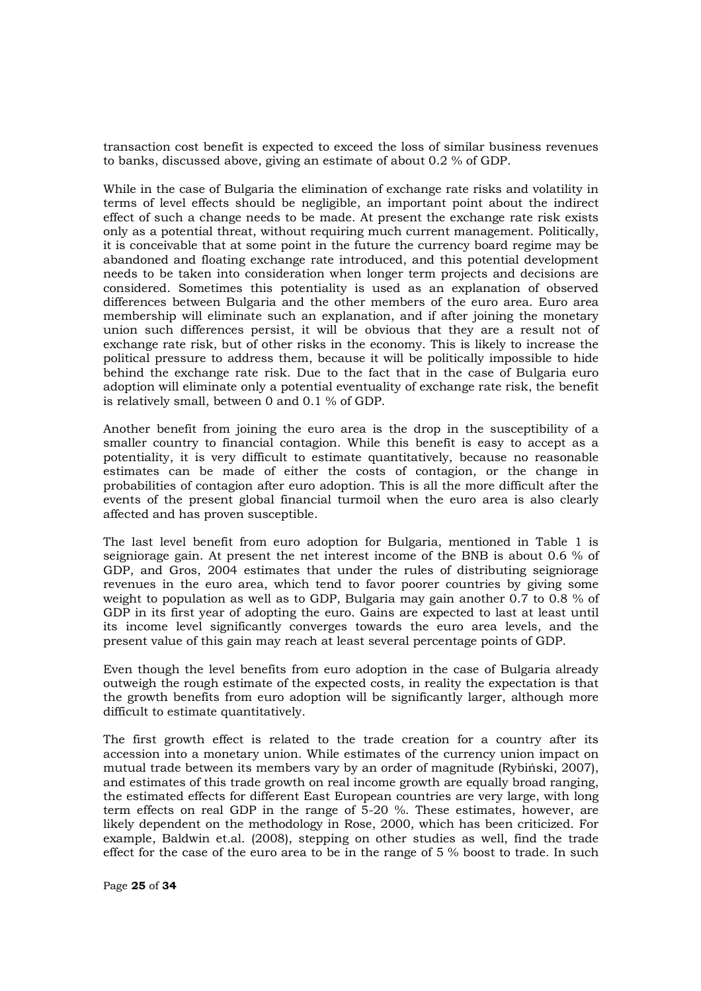transaction cost benefit is expected to exceed the loss of similar business revenues to banks, discussed above, giving an estimate of about 0.2 % of GDP.

While in the case of Bulgaria the elimination of exchange rate risks and volatility in terms of level effects should be negligible, an important point about the indirect effect of such a change needs to be made. At present the exchange rate risk exists only as a potential threat, without requiring much current management. Politically, it is conceivable that at some point in the future the currency board regime may be abandoned and floating exchange rate introduced, and this potential development needs to be taken into consideration when longer term projects and decisions are considered. Sometimes this potentiality is used as an explanation of observed differences between Bulgaria and the other members of the euro area. Euro area membership will eliminate such an explanation, and if after joining the monetary union such differences persist, it will be obvious that they are a result not of exchange rate risk, but of other risks in the economy. This is likely to increase the political pressure to address them, because it will be politically impossible to hide behind the exchange rate risk. Due to the fact that in the case of Bulgaria euro adoption will eliminate only a potential eventuality of exchange rate risk, the benefit is relatively small, between 0 and 0.1 % of GDP.

Another benefit from joining the euro area is the drop in the susceptibility of a smaller country to financial contagion. While this benefit is easy to accept as a potentiality, it is very difficult to estimate quantitatively, because no reasonable estimates can be made of either the costs of contagion, or the change in probabilities of contagion after euro adoption. This is all the more difficult after the events of the present global financial turmoil when the euro area is also clearly affected and has proven susceptible.

The last level benefit from euro adoption for Bulgaria, mentioned in Table 1 is seigniorage gain. At present the net interest income of the BNB is about 0.6 % of GDP, and Gros, 2004 estimates that under the rules of distributing seigniorage revenues in the euro area, which tend to favor poorer countries by giving some weight to population as well as to GDP, Bulgaria may gain another 0.7 to 0.8 % of GDP in its first year of adopting the euro. Gains are expected to last at least until its income level significantly converges towards the euro area levels, and the present value of this gain may reach at least several percentage points of GDP.

Even though the level benefits from euro adoption in the case of Bulgaria already outweigh the rough estimate of the expected costs, in reality the expectation is that the growth benefits from euro adoption will be significantly larger, although more difficult to estimate quantitatively.

The first growth effect is related to the trade creation for a country after its accession into a monetary union. While estimates of the currency union impact on mutual trade between its members vary by an order of magnitude (Rybinski, 2007), and estimates of this trade growth on real income growth are equally broad ranging, the estimated effects for different East European countries are very large, with long term effects on real GDP in the range of 5-20 %. These estimates, however, are likely dependent on the methodology in Rose, 2000, which has been criticized. For example, Baldwin et.al. (2008), stepping on other studies as well, find the trade effect for the case of the euro area to be in the range of 5 % boost to trade. In such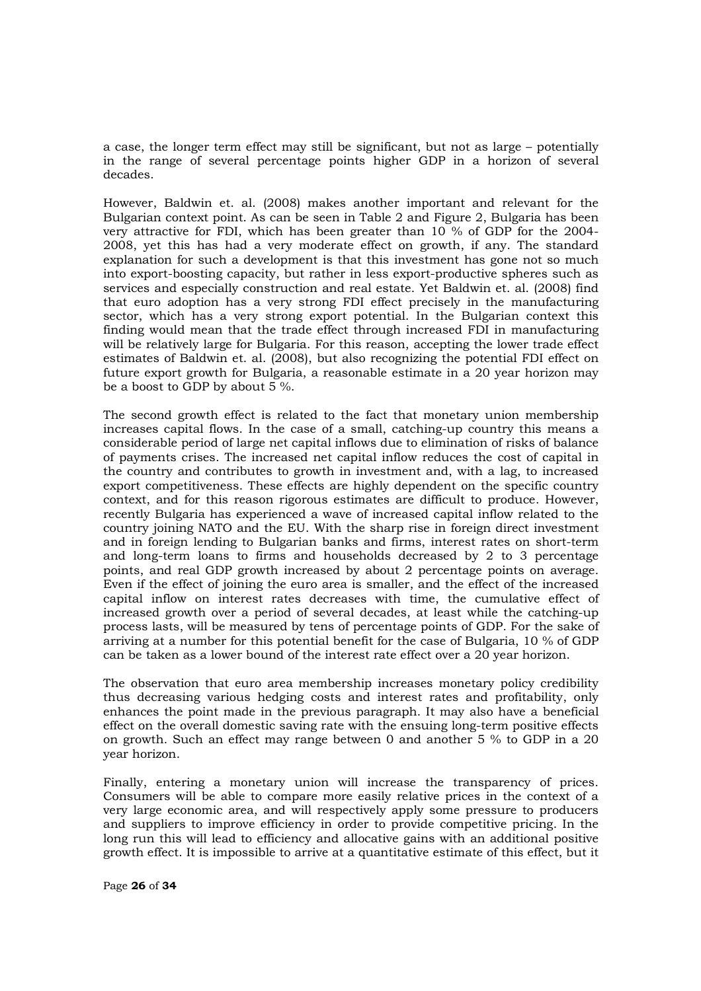a case, the longer term effect may still be significant, but not as large – potentially in the range of several percentage points higher GDP in a horizon of several decades.

However, Baldwin et. al. (2008) makes another important and relevant for the Bulgarian context point. As can be seen in Table 2 and Figure 2, Bulgaria has been very attractive for FDI, which has been greater than 10 % of GDP for the 2004- 2008, yet this has had a very moderate effect on growth, if any. The standard explanation for such a development is that this investment has gone not so much into export-boosting capacity, but rather in less export-productive spheres such as services and especially construction and real estate. Yet Baldwin et. al. (2008) find that euro adoption has a very strong FDI effect precisely in the manufacturing sector, which has a very strong export potential. In the Bulgarian context this finding would mean that the trade effect through increased FDI in manufacturing will be relatively large for Bulgaria. For this reason, accepting the lower trade effect estimates of Baldwin et. al. (2008), but also recognizing the potential FDI effect on future export growth for Bulgaria, a reasonable estimate in a 20 year horizon may be a boost to GDP by about 5 %.

The second growth effect is related to the fact that monetary union membership increases capital flows. In the case of a small, catching-up country this means a considerable period of large net capital inflows due to elimination of risks of balance of payments crises. The increased net capital inflow reduces the cost of capital in the country and contributes to growth in investment and, with a lag, to increased export competitiveness. These effects are highly dependent on the specific country context, and for this reason rigorous estimates are difficult to produce. However, recently Bulgaria has experienced a wave of increased capital inflow related to the country joining NATO and the EU. With the sharp rise in foreign direct investment and in foreign lending to Bulgarian banks and firms, interest rates on short-term and long-term loans to firms and households decreased by 2 to 3 percentage points, and real GDP growth increased by about 2 percentage points on average. Even if the effect of joining the euro area is smaller, and the effect of the increased capital inflow on interest rates decreases with time, the cumulative effect of increased growth over a period of several decades, at least while the catching-up process lasts, will be measured by tens of percentage points of GDP. For the sake of arriving at a number for this potential benefit for the case of Bulgaria, 10 % of GDP can be taken as a lower bound of the interest rate effect over a 20 year horizon.

The observation that euro area membership increases monetary policy credibility thus decreasing various hedging costs and interest rates and profitability, only enhances the point made in the previous paragraph. It may also have a beneficial effect on the overall domestic saving rate with the ensuing long-term positive effects on growth. Such an effect may range between 0 and another 5 % to GDP in a 20 year horizon.

Finally, entering a monetary union will increase the transparency of prices. Consumers will be able to compare more easily relative prices in the context of a very large economic area, and will respectively apply some pressure to producers and suppliers to improve efficiency in order to provide competitive pricing. In the long run this will lead to efficiency and allocative gains with an additional positive growth effect. It is impossible to arrive at a quantitative estimate of this effect, but it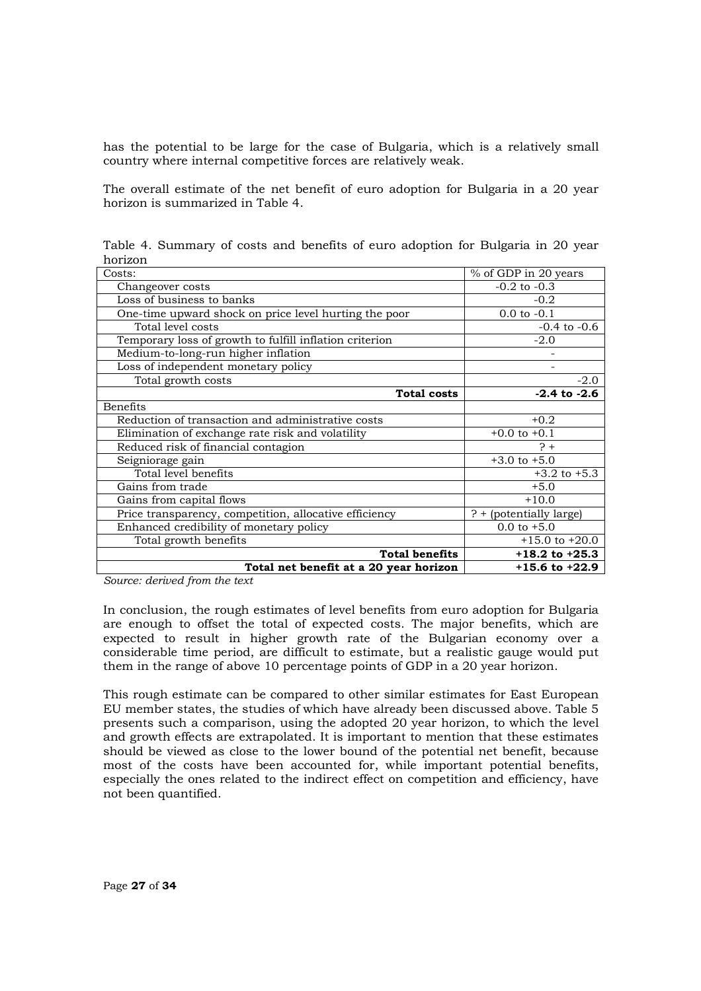has the potential to be large for the case of Bulgaria, which is a relatively small country where internal competitive forces are relatively weak.

The overall estimate of the net benefit of euro adoption for Bulgaria in a 20 year horizon is summarized in Table 4.

Table 4. Summary of costs and benefits of euro adoption for Bulgaria in 20 year horizon

| Costs:                                                  | % of GDP in 20 years    |
|---------------------------------------------------------|-------------------------|
| Changeover costs                                        | $-0.2$ to $-0.3$        |
| Loss of business to banks                               | $-0.2$                  |
| One-time upward shock on price level hurting the poor   | $0.0$ to $-0.1$         |
| Total level costs                                       | $-0.4$ to $-0.6$        |
| Temporary loss of growth to fulfill inflation criterion | $-2.0$                  |
| Medium-to-long-run higher inflation                     |                         |
| Loss of independent monetary policy                     |                         |
| Total growth costs                                      | $-2.0$                  |
| <b>Total costs</b>                                      | $-2.4$ to $-2.6$        |
| <b>Benefits</b>                                         |                         |
| Reduction of transaction and administrative costs       | $+0.2$                  |
| Elimination of exchange rate risk and volatility        | $+0.0$ to $+0.1$        |
| Reduced risk of financial contagion                     | $\frac{1}{2}$           |
| Seigniorage gain                                        | $+3.0$ to $+5.0$        |
| Total level benefits                                    | $+3.2$ to $+5.3$        |
| Gains from trade                                        | $+5.0$                  |
| Gains from capital flows                                | $+10.0$                 |
| Price transparency, competition, allocative efficiency  | ? + (potentially large) |
| Enhanced credibility of monetary policy                 | $0.0$ to $+5.0$         |
| Total growth benefits                                   | $+15.0$ to $+20.0$      |
| <b>Total benefits</b>                                   | $+18.2$ to $+25.3$      |
| Total net benefit at a 20 year horizon                  | $+15.6$ to $+22.9$      |

*Source: derived from the text* 

In conclusion, the rough estimates of level benefits from euro adoption for Bulgaria are enough to offset the total of expected costs. The major benefits, which are expected to result in higher growth rate of the Bulgarian economy over a considerable time period, are difficult to estimate, but a realistic gauge would put them in the range of above 10 percentage points of GDP in a 20 year horizon.

This rough estimate can be compared to other similar estimates for East European EU member states, the studies of which have already been discussed above. Table 5 presents such a comparison, using the adopted 20 year horizon, to which the level and growth effects are extrapolated. It is important to mention that these estimates should be viewed as close to the lower bound of the potential net benefit, because most of the costs have been accounted for, while important potential benefits, especially the ones related to the indirect effect on competition and efficiency, have not been quantified.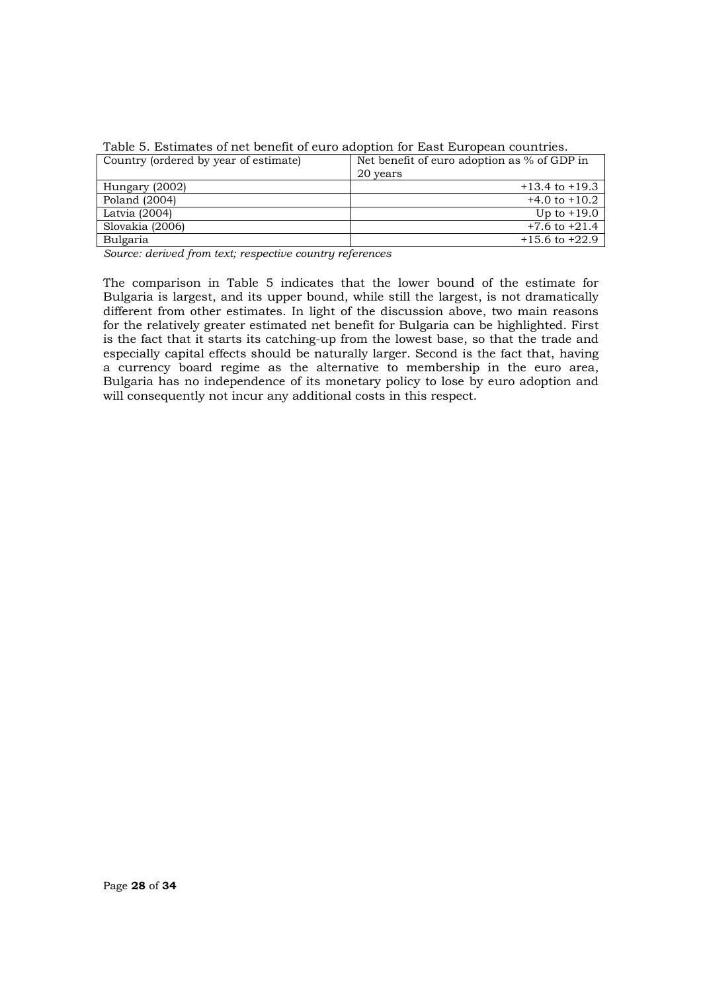| Country (ordered by year of estimate) | Net benefit of euro adoption as % of GDP in<br>20 years |
|---------------------------------------|---------------------------------------------------------|
| Hungary (2002)                        | $+13.4$ to $+19.3$                                      |
| Poland (2004)                         | $+4.0$ to $+10.2$                                       |
| Latvia (2004)                         | Up to $+19.0$                                           |
| Slovakia (2006)                       | $+7.6$ to $+21.4$                                       |
| Bulgaria                              | $+15.6$ to $+22.9$                                      |

Table 5. Estimates of net benefit of euro adoption for East European countries.

*Source: derived from text; respective country references* 

The comparison in Table 5 indicates that the lower bound of the estimate for Bulgaria is largest, and its upper bound, while still the largest, is not dramatically different from other estimates. In light of the discussion above, two main reasons for the relatively greater estimated net benefit for Bulgaria can be highlighted. First is the fact that it starts its catching-up from the lowest base, so that the trade and especially capital effects should be naturally larger. Second is the fact that, having a currency board regime as the alternative to membership in the euro area, Bulgaria has no independence of its monetary policy to lose by euro adoption and will consequently not incur any additional costs in this respect.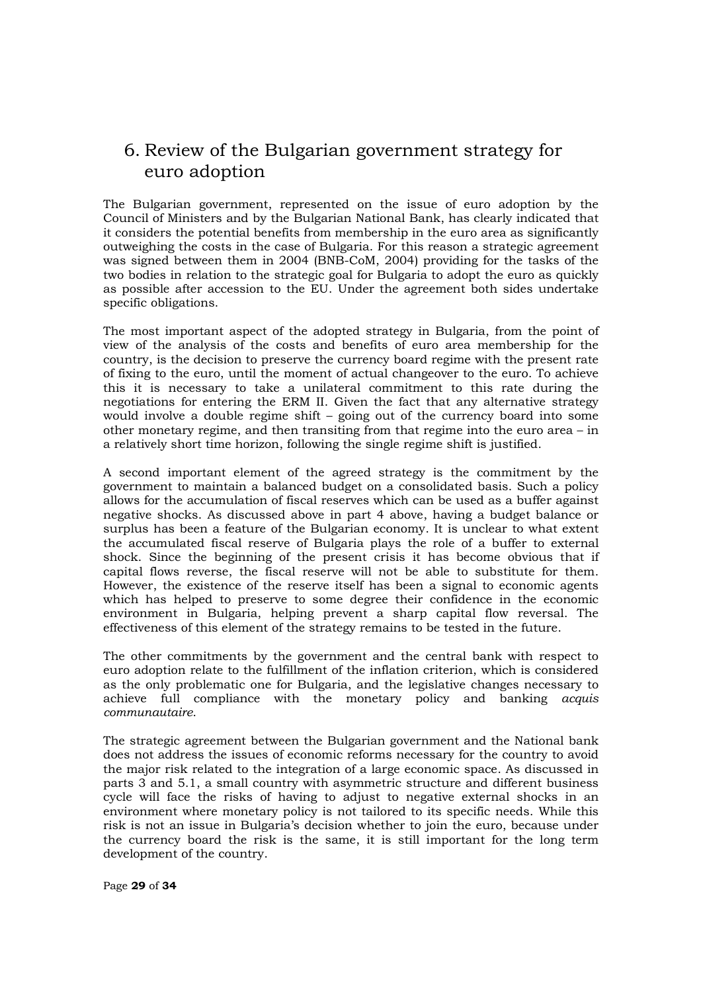### 6. Review of the Bulgarian government strategy for euro adoption

The Bulgarian government, represented on the issue of euro adoption by the Council of Ministers and by the Bulgarian National Bank, has clearly indicated that it considers the potential benefits from membership in the euro area as significantly outweighing the costs in the case of Bulgaria. For this reason a strategic agreement was signed between them in 2004 (BNB-CoM, 2004) providing for the tasks of the two bodies in relation to the strategic goal for Bulgaria to adopt the euro as quickly as possible after accession to the EU. Under the agreement both sides undertake specific obligations.

The most important aspect of the adopted strategy in Bulgaria, from the point of view of the analysis of the costs and benefits of euro area membership for the country, is the decision to preserve the currency board regime with the present rate of fixing to the euro, until the moment of actual changeover to the euro. To achieve this it is necessary to take a unilateral commitment to this rate during the negotiations for entering the ERM II. Given the fact that any alternative strategy would involve a double regime shift – going out of the currency board into some other monetary regime, and then transiting from that regime into the euro area – in a relatively short time horizon, following the single regime shift is justified.

A second important element of the agreed strategy is the commitment by the government to maintain a balanced budget on a consolidated basis. Such a policy allows for the accumulation of fiscal reserves which can be used as a buffer against negative shocks. As discussed above in part 4 above, having a budget balance or surplus has been a feature of the Bulgarian economy. It is unclear to what extent the accumulated fiscal reserve of Bulgaria plays the role of a buffer to external shock. Since the beginning of the present crisis it has become obvious that if capital flows reverse, the fiscal reserve will not be able to substitute for them. However, the existence of the reserve itself has been a signal to economic agents which has helped to preserve to some degree their confidence in the economic environment in Bulgaria, helping prevent a sharp capital flow reversal. The effectiveness of this element of the strategy remains to be tested in the future.

The other commitments by the government and the central bank with respect to euro adoption relate to the fulfillment of the inflation criterion, which is considered as the only problematic one for Bulgaria, and the legislative changes necessary to achieve full compliance with the monetary policy and banking *acquis communautaire*.

The strategic agreement between the Bulgarian government and the National bank does not address the issues of economic reforms necessary for the country to avoid the major risk related to the integration of a large economic space. As discussed in parts 3 and 5.1, a small country with asymmetric structure and different business cycle will face the risks of having to adjust to negative external shocks in an environment where monetary policy is not tailored to its specific needs. While this risk is not an issue in Bulgaria's decision whether to join the euro, because under the currency board the risk is the same, it is still important for the long term development of the country.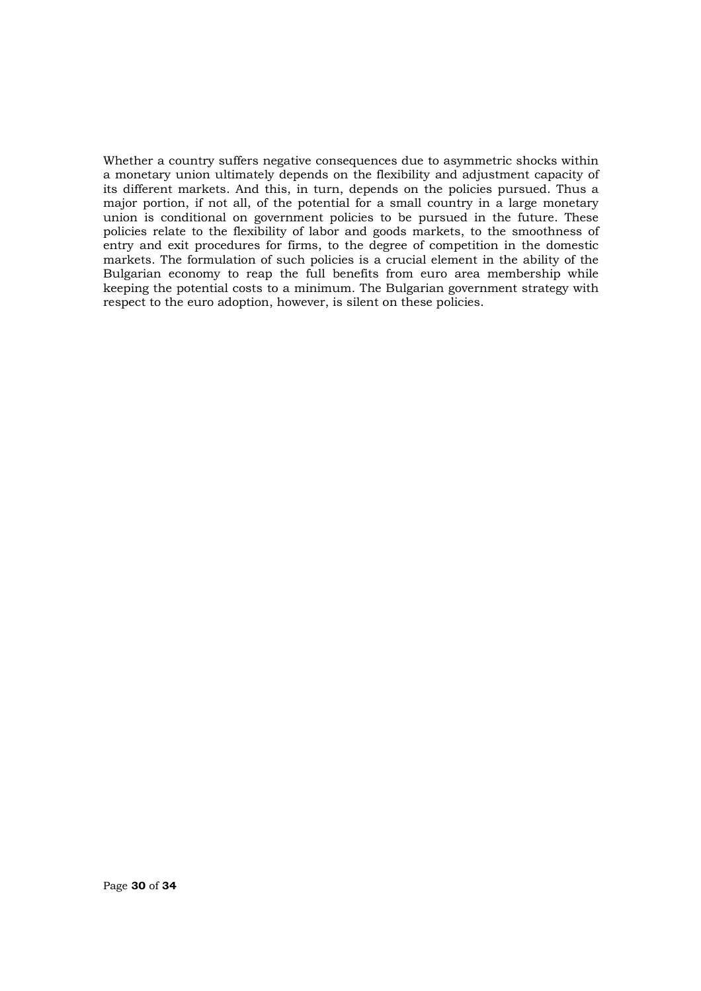Whether a country suffers negative consequences due to asymmetric shocks within a monetary union ultimately depends on the flexibility and adjustment capacity of its different markets. And this, in turn, depends on the policies pursued. Thus a major portion, if not all, of the potential for a small country in a large monetary union is conditional on government policies to be pursued in the future. These policies relate to the flexibility of labor and goods markets, to the smoothness of entry and exit procedures for firms, to the degree of competition in the domestic markets. The formulation of such policies is a crucial element in the ability of the Bulgarian economy to reap the full benefits from euro area membership while keeping the potential costs to a minimum. The Bulgarian government strategy with respect to the euro adoption, however, is silent on these policies.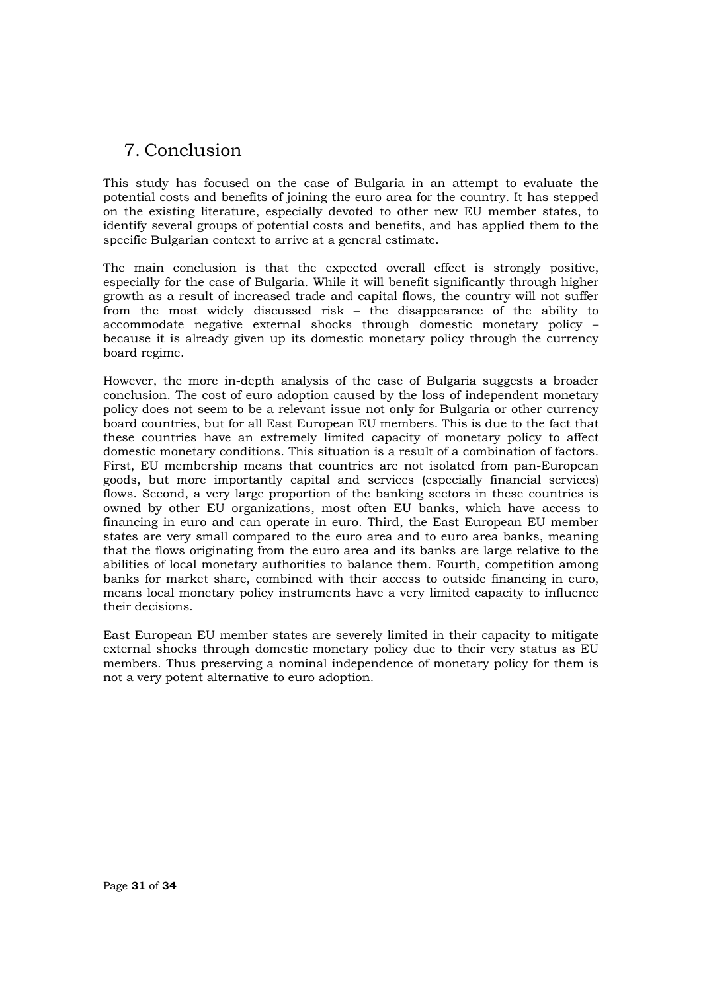## 7. Conclusion

This study has focused on the case of Bulgaria in an attempt to evaluate the potential costs and benefits of joining the euro area for the country. It has stepped on the existing literature, especially devoted to other new EU member states, to identify several groups of potential costs and benefits, and has applied them to the specific Bulgarian context to arrive at a general estimate.

The main conclusion is that the expected overall effect is strongly positive, especially for the case of Bulgaria. While it will benefit significantly through higher growth as a result of increased trade and capital flows, the country will not suffer from the most widely discussed risk – the disappearance of the ability to accommodate negative external shocks through domestic monetary policy – because it is already given up its domestic monetary policy through the currency board regime.

However, the more in-depth analysis of the case of Bulgaria suggests a broader conclusion. The cost of euro adoption caused by the loss of independent monetary policy does not seem to be a relevant issue not only for Bulgaria or other currency board countries, but for all East European EU members. This is due to the fact that these countries have an extremely limited capacity of monetary policy to affect domestic monetary conditions. This situation is a result of a combination of factors. First, EU membership means that countries are not isolated from pan-European goods, but more importantly capital and services (especially financial services) flows. Second, a very large proportion of the banking sectors in these countries is owned by other EU organizations, most often EU banks, which have access to financing in euro and can operate in euro. Third, the East European EU member states are very small compared to the euro area and to euro area banks, meaning that the flows originating from the euro area and its banks are large relative to the abilities of local monetary authorities to balance them. Fourth, competition among banks for market share, combined with their access to outside financing in euro, means local monetary policy instruments have a very limited capacity to influence their decisions.

East European EU member states are severely limited in their capacity to mitigate external shocks through domestic monetary policy due to their very status as EU members. Thus preserving a nominal independence of monetary policy for them is not a very potent alternative to euro adoption.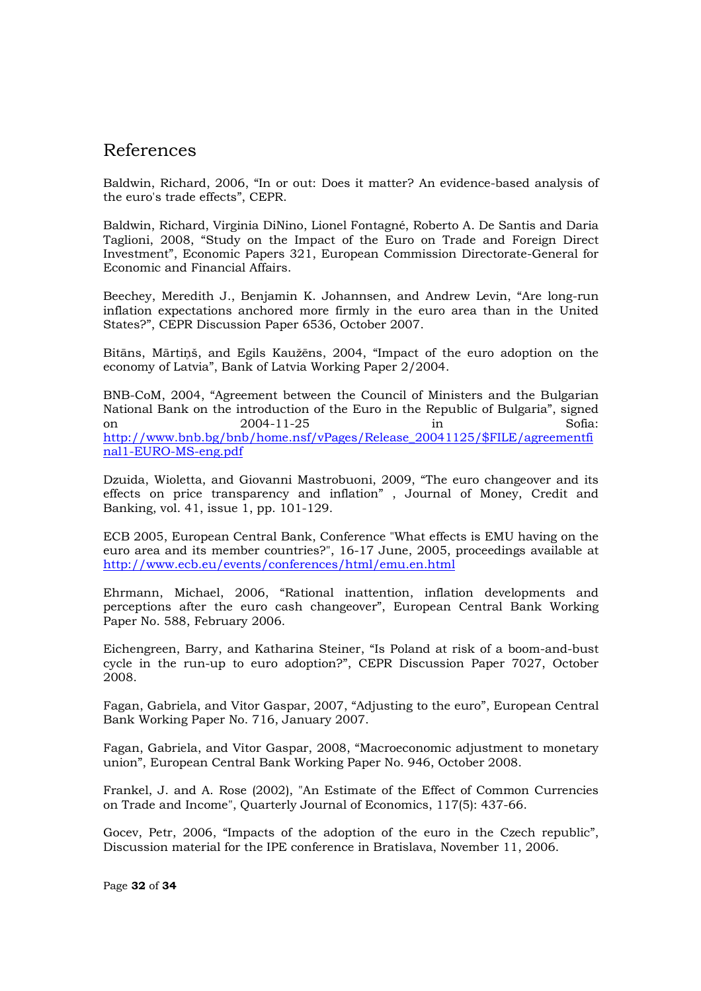### References

Baldwin, Richard, 2006, "In or out: Does it matter? An evidence-based analysis of the euro's trade effects", CEPR.

Baldwin, Richard, Virginia DiNino, Lionel Fontagné, Roberto A. De Santis and Daria Taglioni, 2008, "Study on the Impact of the Euro on Trade and Foreign Direct Investment", Economic Papers 321, European Commission Directorate-General for Economic and Financial Affairs.

Beechey, Meredith J., Benjamin K. Johannsen, and Andrew Levin, "Are long-run inflation expectations anchored more firmly in the euro area than in the United States?", CEPR Discussion Paper 6536, October 2007.

Bitāns, Mārtinš, and Egils Kaužēns, 2004, "Impact of the euro adoption on the economy of Latvia", Bank of Latvia Working Paper 2/2004.

BNB-CoM, 2004, "Agreement between the Council of Ministers and the Bulgarian National Bank on the introduction of the Euro in the Republic of Bulgaria", signed on 2004-11-25 in Sofia: http://www.bnb.bg/bnb/home.nsf/vPages/Release\_20041125/\$FILE/agreementfi nal1-EURO-MS-eng.pdf

Dzuida, Wioletta, and Giovanni Mastrobuoni, 2009, "The euro changeover and its effects on price transparency and inflation" , Journal of Money, Credit and Banking, vol. 41, issue 1, pp. 101-129.

ECB 2005, European Central Bank, Conference "What effects is EMU having on the euro area and its member countries?", 16-17 June, 2005, proceedings available at http://www.ecb.eu/events/conferences/html/emu.en.html

Ehrmann, Michael, 2006, "Rational inattention, inflation developments and perceptions after the euro cash changeover", European Central Bank Working Paper No. 588, February 2006.

Eichengreen, Barry, and Katharina Steiner, "Is Poland at risk of a boom-and-bust cycle in the run-up to euro adoption?", CEPR Discussion Paper 7027, October 2008.

Fagan, Gabriela, and Vitor Gaspar, 2007, "Adjusting to the euro", European Central Bank Working Paper No. 716, January 2007.

Fagan, Gabriela, and Vitor Gaspar, 2008, "Macroeconomic adjustment to monetary union", European Central Bank Working Paper No. 946, October 2008.

Frankel, J. and A. Rose (2002), "An Estimate of the Effect of Common Currencies on Trade and Income", Quarterly Journal of Economics, 117(5): 437-66.

Gocev, Petr, 2006, "Impacts of the adoption of the euro in the Czech republic", Discussion material for the IPE conference in Bratislava, November 11, 2006.

Page **32** of **34**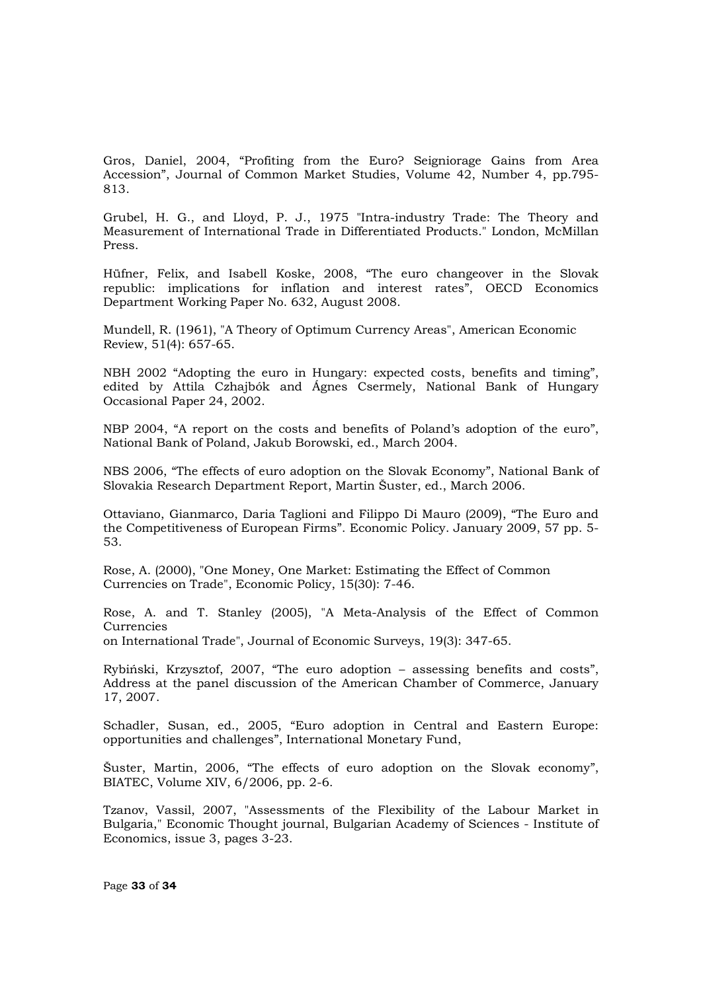Gros, Daniel, 2004, "Profiting from the Euro? Seigniorage Gains from Area Accession", Journal of Common Market Studies, Volume 42, Number 4, pp.795- 813.

Grubel, H. G., and Lloyd, P. J., 1975 "Intra-industry Trade: The Theory and Measurement of International Trade in Differentiated Products." London, McMillan Press.

Hüfner, Felix, and Isabell Koske, 2008, "The euro changeover in the Slovak republic: implications for inflation and interest rates", OECD Economics Department Working Paper No. 632, August 2008.

Mundell, R. (1961), "A Theory of Optimum Currency Areas", American Economic Review, 51(4): 657-65.

NBH 2002 "Adopting the euro in Hungary: expected costs, benefits and timing", edited by Attila Czhajbók and Ágnes Csermely, National Bank of Hungary Occasional Paper 24, 2002.

NBP 2004, "A report on the costs and benefits of Poland's adoption of the euro", National Bank of Poland, Jakub Borowski, ed., March 2004.

NBS 2006, "The effects of euro adoption on the Slovak Economy", National Bank of Slovakia Research Department Report, Martin Šuster, ed., March 2006.

Ottaviano, Gianmarco, Daria Taglioni and Filippo Di Mauro (2009), "The Euro and the Competitiveness of European Firms". Economic Policy. January 2009, 57 pp. 5- 53.

Rose, A. (2000), "One Money, One Market: Estimating the Effect of Common Currencies on Trade", Economic Policy, 15(30): 7-46.

Rose, A. and T. Stanley (2005), "A Meta-Analysis of the Effect of Common **Currencies** on International Trade", Journal of Economic Surveys, 19(3): 347-65.

Rybiński, Krzysztof, 2007, "The euro adoption – assessing benefits and costs", Address at the panel discussion of the American Chamber of Commerce, January 17, 2007.

Schadler, Susan, ed., 2005, "Euro adoption in Central and Eastern Europe: opportunities and challenges", International Monetary Fund,

Šuster, Martin, 2006, "The effects of euro adoption on the Slovak economy", BIATEC, Volume XIV, 6/2006, pp. 2-6.

Tzanov, Vassil, 2007, "Assessments of the Flexibility of the Labour Market in Bulgaria," Economic Thought journal, Bulgarian Academy of Sciences - Institute of Economics, issue 3, pages 3-23.